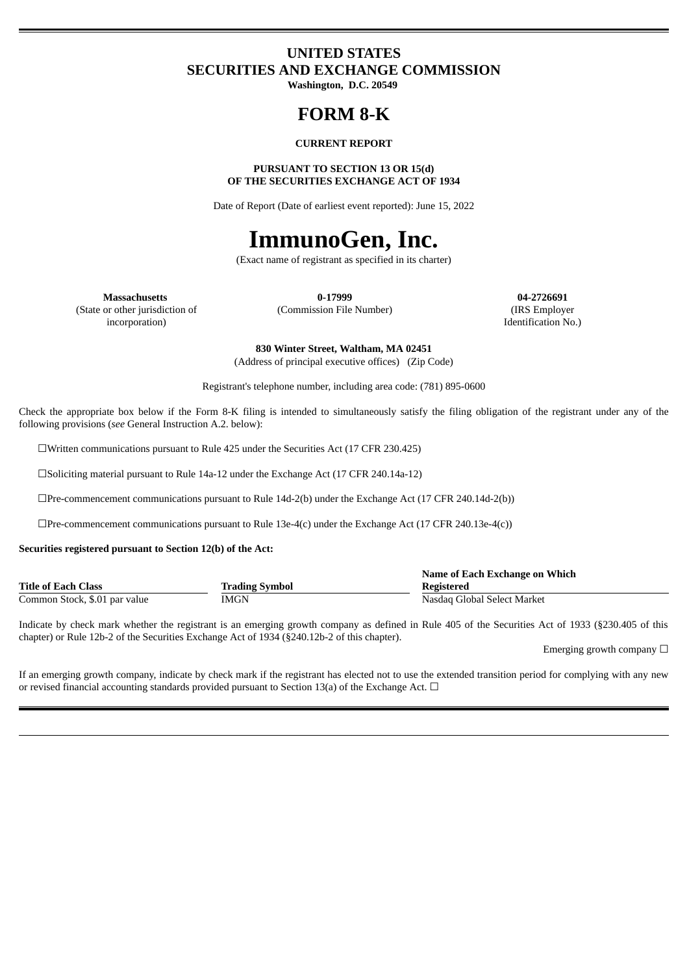# **UNITED STATES SECURITIES AND EXCHANGE COMMISSION**

**Washington, D.C. 20549**

# **FORM 8-K**

#### **CURRENT REPORT**

# **PURSUANT TO SECTION 13 OR 15(d) OF THE SECURITIES EXCHANGE ACT OF 1934**

Date of Report (Date of earliest event reported): June 15, 2022

# **ImmunoGen, Inc.**

(Exact name of registrant as specified in its charter)

(State or other jurisdiction of incorporation)

**Massachusetts 0-17999 04-2726691** (Commission File Number) (IRS Employer

Identification No.)

**830 Winter Street, Waltham, MA 02451** (Address of principal executive offices) (Zip Code)

Registrant's telephone number, including area code: (781) 895-0600

Check the appropriate box below if the Form 8-K filing is intended to simultaneously satisfy the filing obligation of the registrant under any of the following provisions (*see* General Instruction A.2. below):

☐Written communications pursuant to Rule 425 under the Securities Act (17 CFR 230.425)

☐Soliciting material pursuant to Rule 14a-12 under the Exchange Act (17 CFR 240.14a-12)

 $\Box$ Pre-commencement communications pursuant to Rule 14d-2(b) under the Exchange Act (17 CFR 240.14d-2(b))

☐Pre-commencement communications pursuant to Rule 13e-4(c) under the Exchange Act (17 CFR 240.13e-4(c))

#### **Securities registered pursuant to Section 12(b) of the Act:**

|                               |                       | Name of Each Exchange on Which |
|-------------------------------|-----------------------|--------------------------------|
| <b>Title of Each Class</b>    | <b>Trading Symbol</b> | Registered                     |
| Common Stock, \$.01 par value | IMGN                  | Nasdag Global Select Market    |

Indicate by check mark whether the registrant is an emerging growth company as defined in Rule 405 of the Securities Act of 1933 (§230.405 of this chapter) or Rule 12b-2 of the Securities Exchange Act of 1934 (§240.12b-2 of this chapter).

Emerging growth company  $\Box$ 

If an emerging growth company, indicate by check mark if the registrant has elected not to use the extended transition period for complying with any new or revised financial accounting standards provided pursuant to Section 13(a) of the Exchange Act.  $\Box$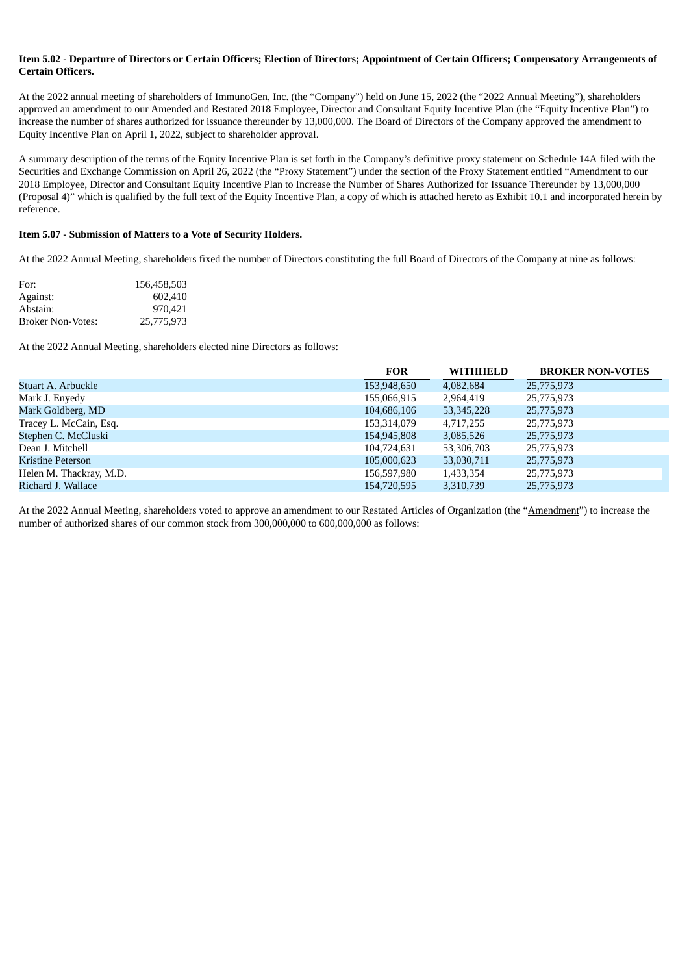# Item 5.02 - Departure of Directors or Certain Officers: Election of Directors: Appointment of Certain Officers: Compensatory Arrangements of **Certain Officers.**

At the 2022 annual meeting of shareholders of ImmunoGen, Inc. (the "Company") held on June 15, 2022 (the "2022 Annual Meeting"), shareholders approved an amendment to our Amended and Restated 2018 Employee, Director and Consultant Equity Incentive Plan (the "Equity Incentive Plan") to increase the number of shares authorized for issuance thereunder by 13,000,000. The Board of Directors of the Company approved the amendment to Equity Incentive Plan on April 1, 2022, subject to shareholder approval.

A summary description of the terms of the Equity Incentive Plan is set forth in the Company's definitive proxy statement on Schedule 14A filed with the Securities and Exchange Commission on April 26, 2022 (the "Proxy Statement") under the section of the Proxy Statement entitled "Amendment to our 2018 Employee, Director and Consultant Equity Incentive Plan to Increase the Number of Shares Authorized for Issuance Thereunder by 13,000,000 (Proposal 4)" which is qualified by the full text of the Equity Incentive Plan, a copy of which is attached hereto as Exhibit 10.1 and incorporated herein by reference.

# **Item 5.07 - Submission of Matters to a Vote of Security Holders.**

At the 2022 Annual Meeting, shareholders fixed the number of Directors constituting the full Board of Directors of the Company at nine as follows:

| For:              | 156.458.503 |
|-------------------|-------------|
| Against:          | 602.410     |
| Abstain:          | 970.421     |
| Broker Non-Votes: | 25,775,973  |

At the 2022 Annual Meeting, shareholders elected nine Directors as follows:

|                          | <b>FOR</b>  | <b>WITHHELD</b> | <b>BROKER NON-VOTES</b> |
|--------------------------|-------------|-----------------|-------------------------|
| Stuart A. Arbuckle       | 153,948,650 | 4,082,684       | 25,775,973              |
| Mark J. Enyedy           | 155,066,915 | 2,964,419       | 25,775,973              |
| Mark Goldberg, MD        | 104,686,106 | 53, 345, 228    | 25,775,973              |
| Tracey L. McCain, Esq.   | 153,314,079 | 4.717.255       | 25,775,973              |
| Stephen C. McCluski      | 154,945,808 | 3,085,526       | 25,775,973              |
| Dean J. Mitchell         | 104,724,631 | 53,306,703      | 25,775,973              |
| <b>Kristine Peterson</b> | 105,000,623 | 53,030,711      | 25,775,973              |
| Helen M. Thackray, M.D.  | 156,597,980 | 1,433,354       | 25,775,973              |
| Richard J. Wallace       | 154,720,595 | 3,310,739       | 25,775,973              |

At the 2022 Annual Meeting, shareholders voted to approve an amendment to our Restated Articles of Organization (the "Amendment") to increase the number of authorized shares of our common stock from 300,000,000 to 600,000,000 as follows: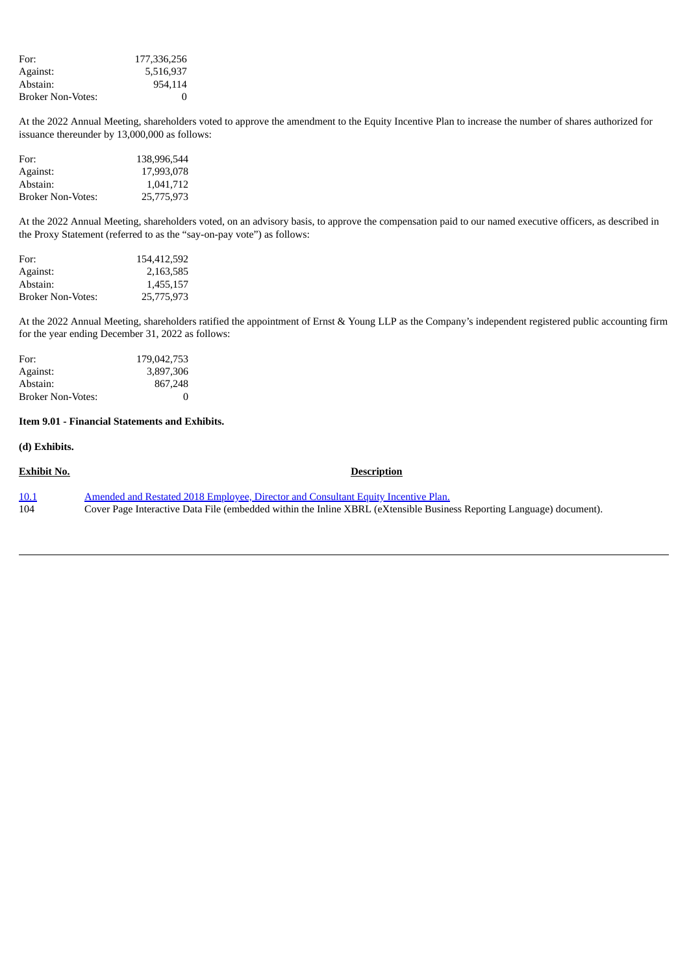| For:              | 177,336,256 |
|-------------------|-------------|
| Against:          | 5,516,937   |
| Abstain:          | 954.114     |
| Broker Non-Votes: | $\Omega$    |

At the 2022 Annual Meeting, shareholders voted to approve the amendment to the Equity Incentive Plan to increase the number of shares authorized for issuance thereunder by 13,000,000 as follows:

| For:                     | 138,996,544 |
|--------------------------|-------------|
| Against:                 | 17.993.078  |
| Abstain:                 | 1.041.712   |
| <b>Broker Non-Votes:</b> | 25,775,973  |

At the 2022 Annual Meeting, shareholders voted, on an advisory basis, to approve the compensation paid to our named executive officers, as described in the Proxy Statement (referred to as the "say-on-pay vote") as follows:

| For:              | 154,412,592 |
|-------------------|-------------|
| Against:          | 2,163,585   |
| Abstain:          | 1,455,157   |
| Broker Non-Votes: | 25,775,973  |

At the 2022 Annual Meeting, shareholders ratified the appointment of Ernst & Young LLP as the Company's independent registered public accounting firm for the year ending December 31, 2022 as follows:

| For:                     | 179,042,753 |
|--------------------------|-------------|
| Against:                 | 3,897,306   |
| Abstain:                 | 867,248     |
| <b>Broker Non-Votes:</b> | $\Omega$    |

#### **Item 9.01 - Financial Statements and Exhibits.**

#### **(d) Exhibits.**

**Exhibit No. Description** [10.1](#page-4-0) Amended and Restated 2018 Employee, Director and [Consultant](#page-4-0) Equity Incentive Plan. 104 Cover Page Interactive Data File (embedded within the Inline XBRL (eXtensible Business Reporting Language) document).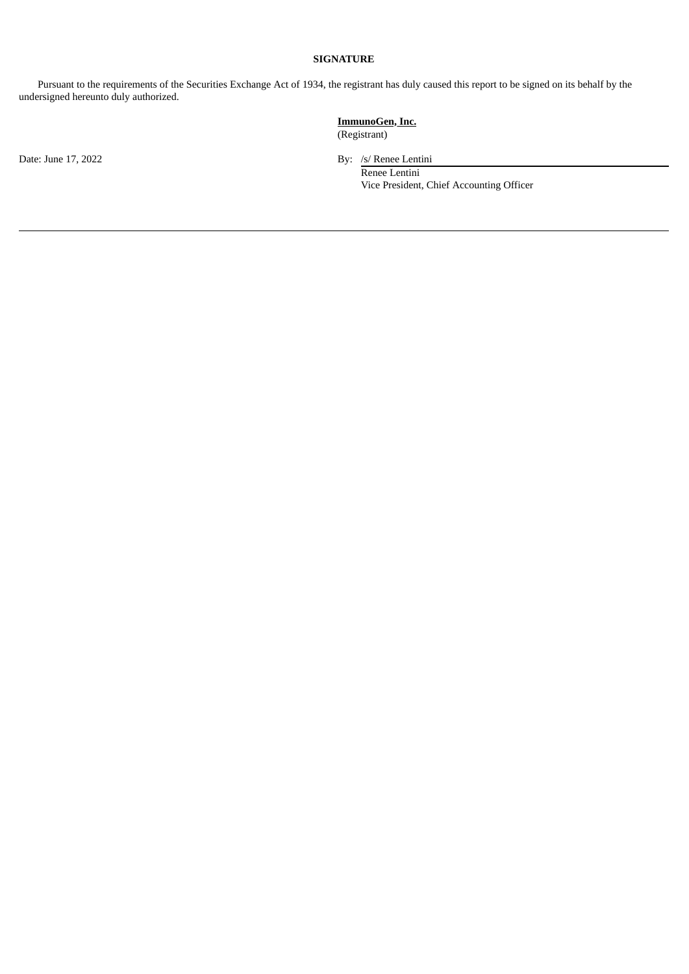# **SIGNATURE**

Pursuant to the requirements of the Securities Exchange Act of 1934, the registrant has duly caused this report to be signed on its behalf by the undersigned hereunto duly authorized.

Date: June 17, 2022 By: /s/ Renee Lentini

**ImmunoGen, Inc.** (Registrant)

> Renee Lentini Vice President, Chief Accounting Officer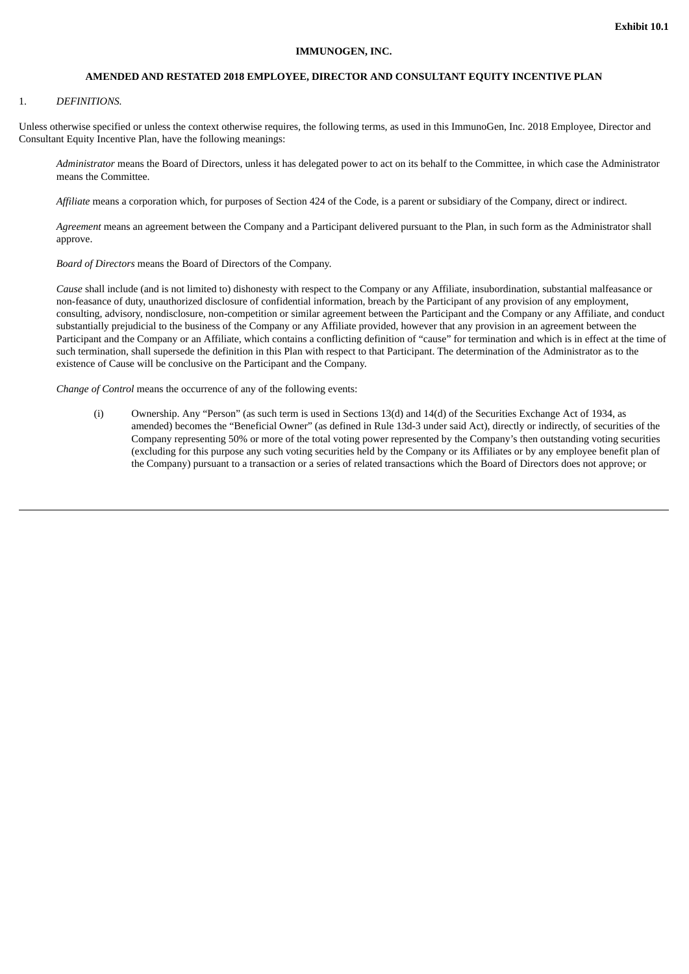#### **IMMUNOGEN, INC.**

#### **AMENDED AND RESTATED 2018 EMPLOYEE, DIRECTOR AND CONSULTANT EQUITY INCENTIVE PLAN**

#### <span id="page-4-0"></span>1. *DEFINITIONS.*

Unless otherwise specified or unless the context otherwise requires, the following terms, as used in this ImmunoGen, Inc. 2018 Employee, Director and Consultant Equity Incentive Plan, have the following meanings:

*Administrator* means the Board of Directors, unless it has delegated power to act on its behalf to the Committee, in which case the Administrator means the Committee.

*Affiliate* means a corporation which, for purposes of Section 424 of the Code, is a parent or subsidiary of the Company, direct or indirect.

*Agreement* means an agreement between the Company and a Participant delivered pursuant to the Plan, in such form as the Administrator shall approve.

*Board of Directors* means the Board of Directors of the Company.

*Cause* shall include (and is not limited to) dishonesty with respect to the Company or any Affiliate, insubordination, substantial malfeasance or non-feasance of duty, unauthorized disclosure of confidential information, breach by the Participant of any provision of any employment, consulting, advisory, nondisclosure, non-competition or similar agreement between the Participant and the Company or any Affiliate, and conduct substantially prejudicial to the business of the Company or any Affiliate provided, however that any provision in an agreement between the Participant and the Company or an Affiliate, which contains a conflicting definition of "cause" for termination and which is in effect at the time of such termination, shall supersede the definition in this Plan with respect to that Participant. The determination of the Administrator as to the existence of Cause will be conclusive on the Participant and the Company.

*Change of Control* means the occurrence of any of the following events:

(i) Ownership. Any "Person" (as such term is used in Sections 13(d) and 14(d) of the Securities Exchange Act of 1934, as amended) becomes the "Beneficial Owner" (as defined in Rule 13d-3 under said Act), directly or indirectly, of securities of the Company representing 50% or more of the total voting power represented by the Company's then outstanding voting securities (excluding for this purpose any such voting securities held by the Company or its Affiliates or by any employee benefit plan of the Company) pursuant to a transaction or a series of related transactions which the Board of Directors does not approve; or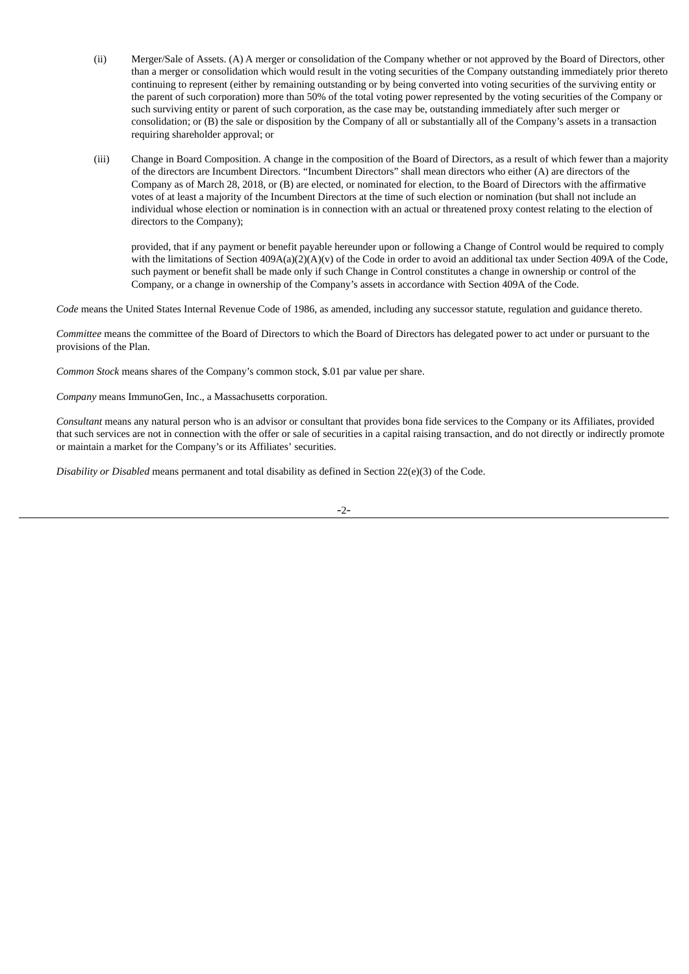- (ii) Merger/Sale of Assets. (A) A merger or consolidation of the Company whether or not approved by the Board of Directors, other than a merger or consolidation which would result in the voting securities of the Company outstanding immediately prior thereto continuing to represent (either by remaining outstanding or by being converted into voting securities of the surviving entity or the parent of such corporation) more than 50% of the total voting power represented by the voting securities of the Company or such surviving entity or parent of such corporation, as the case may be, outstanding immediately after such merger or consolidation; or (B) the sale or disposition by the Company of all or substantially all of the Company's assets in a transaction requiring shareholder approval; or
- (iii) Change in Board Composition. A change in the composition of the Board of Directors, as a result of which fewer than a majority of the directors are Incumbent Directors. "Incumbent Directors" shall mean directors who either (A) are directors of the Company as of March 28, 2018, or (B) are elected, or nominated for election, to the Board of Directors with the affirmative votes of at least a majority of the Incumbent Directors at the time of such election or nomination (but shall not include an individual whose election or nomination is in connection with an actual or threatened proxy contest relating to the election of directors to the Company);

provided, that if any payment or benefit payable hereunder upon or following a Change of Control would be required to comply with the limitations of Section 409A(a)(2)(A)(v) of the Code in order to avoid an additional tax under Section 409A of the Code, such payment or benefit shall be made only if such Change in Control constitutes a change in ownership or control of the Company, or a change in ownership of the Company's assets in accordance with Section 409A of the Code.

*Code* means the United States Internal Revenue Code of 1986, as amended, including any successor statute, regulation and guidance thereto.

*Committee* means the committee of the Board of Directors to which the Board of Directors has delegated power to act under or pursuant to the provisions of the Plan.

*Common Stock* means shares of the Company's common stock, \$.01 par value per share.

*Company* means ImmunoGen, Inc., a Massachusetts corporation.

*Consultant* means any natural person who is an advisor or consultant that provides bona fide services to the Company or its Affiliates, provided that such services are not in connection with the offer or sale of securities in a capital raising transaction, and do not directly or indirectly promote or maintain a market for the Company's or its Affiliates' securities.

*Disability or Disabled* means permanent and total disability as defined in Section 22(e)(3) of the Code.

-2-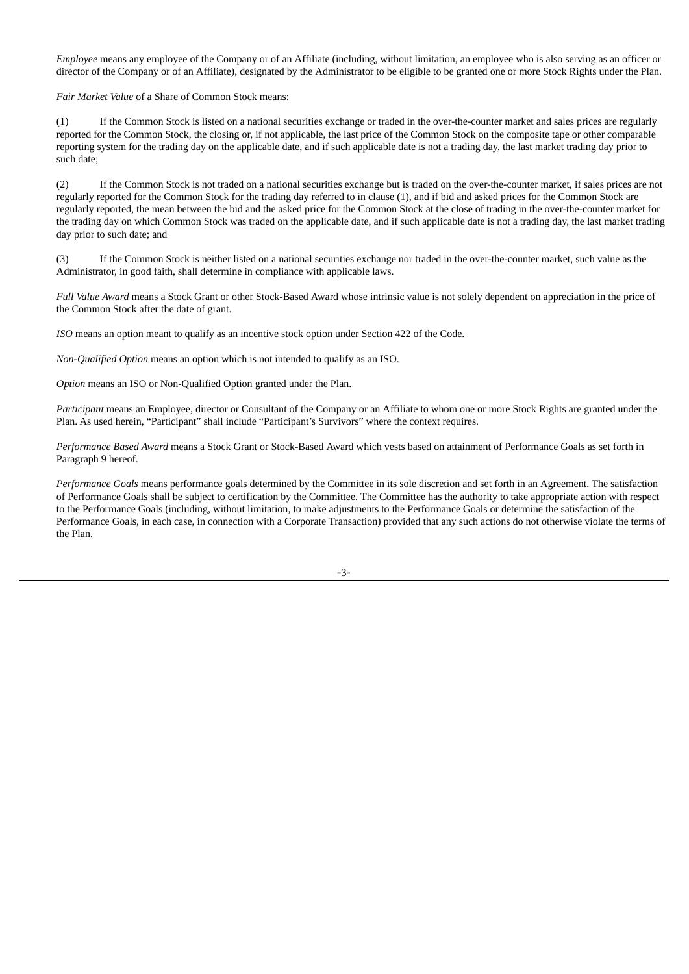*Employee* means any employee of the Company or of an Affiliate (including, without limitation, an employee who is also serving as an officer or director of the Company or of an Affiliate), designated by the Administrator to be eligible to be granted one or more Stock Rights under the Plan.

*Fair Market Value* of a Share of Common Stock means:

(1) If the Common Stock is listed on a national securities exchange or traded in the over-the-counter market and sales prices are regularly reported for the Common Stock, the closing or, if not applicable, the last price of the Common Stock on the composite tape or other comparable reporting system for the trading day on the applicable date, and if such applicable date is not a trading day, the last market trading day prior to such date;

(2) If the Common Stock is not traded on a national securities exchange but is traded on the over-the-counter market, if sales prices are not regularly reported for the Common Stock for the trading day referred to in clause (1), and if bid and asked prices for the Common Stock are regularly reported, the mean between the bid and the asked price for the Common Stock at the close of trading in the over-the-counter market for the trading day on which Common Stock was traded on the applicable date, and if such applicable date is not a trading day, the last market trading day prior to such date; and

(3) If the Common Stock is neither listed on a national securities exchange nor traded in the over-the-counter market, such value as the Administrator, in good faith, shall determine in compliance with applicable laws.

*Full Value Award* means a Stock Grant or other Stock-Based Award whose intrinsic value is not solely dependent on appreciation in the price of the Common Stock after the date of grant.

*ISO* means an option meant to qualify as an incentive stock option under Section 422 of the Code.

*Non-Qualified Option* means an option which is not intended to qualify as an ISO.

*Option* means an ISO or Non-Qualified Option granted under the Plan.

*Participant* means an Employee, director or Consultant of the Company or an Affiliate to whom one or more Stock Rights are granted under the Plan. As used herein, "Participant" shall include "Participant's Survivors" where the context requires.

*Performance Based Award* means a Stock Grant or Stock-Based Award which vests based on attainment of Performance Goals as set forth in Paragraph 9 hereof.

*Performance Goals* means performance goals determined by the Committee in its sole discretion and set forth in an Agreement. The satisfaction of Performance Goals shall be subject to certification by the Committee. The Committee has the authority to take appropriate action with respect to the Performance Goals (including, without limitation, to make adjustments to the Performance Goals or determine the satisfaction of the Performance Goals, in each case, in connection with a Corporate Transaction) provided that any such actions do not otherwise violate the terms of the Plan.

-3-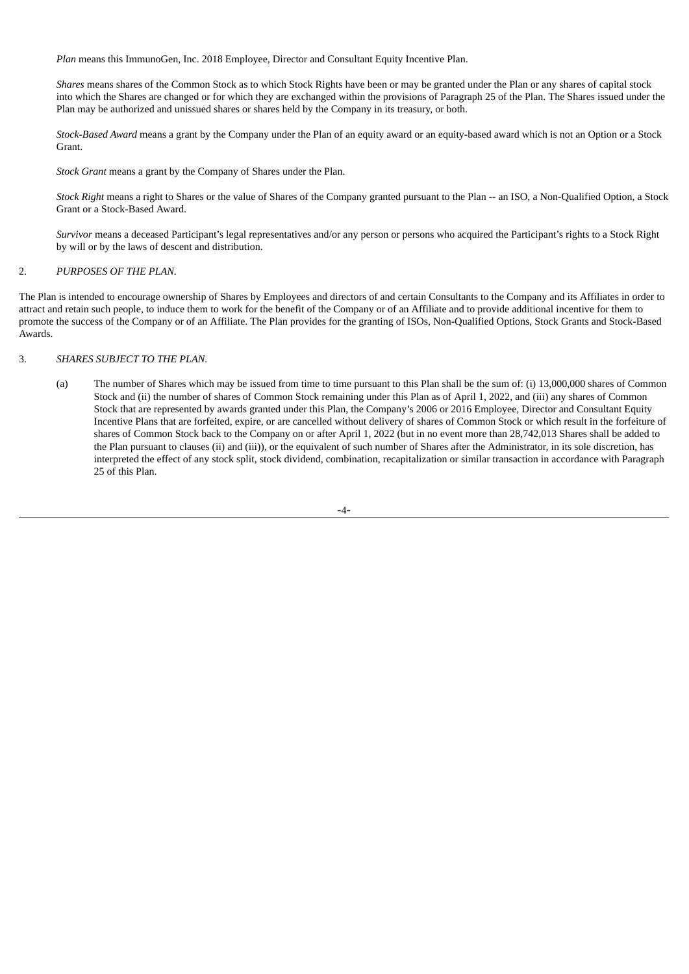*Plan* means this ImmunoGen, Inc. 2018 Employee, Director and Consultant Equity Incentive Plan.

*Shares* means shares of the Common Stock as to which Stock Rights have been or may be granted under the Plan or any shares of capital stock into which the Shares are changed or for which they are exchanged within the provisions of Paragraph 25 of the Plan. The Shares issued under the Plan may be authorized and unissued shares or shares held by the Company in its treasury, or both.

*Stock-Based Award* means a grant by the Company under the Plan of an equity award or an equity-based award which is not an Option or a Stock Grant.

*Stock Grant* means a grant by the Company of Shares under the Plan.

*Stock Right* means a right to Shares or the value of Shares of the Company granted pursuant to the Plan -- an ISO, a Non-Qualified Option, a Stock Grant or a Stock-Based Award.

*Survivor* means a deceased Participant's legal representatives and/or any person or persons who acquired the Participant's rights to a Stock Right by will or by the laws of descent and distribution.

# 2. *PURPOSES OF THE PLAN.*

The Plan is intended to encourage ownership of Shares by Employees and directors of and certain Consultants to the Company and its Affiliates in order to attract and retain such people, to induce them to work for the benefit of the Company or of an Affiliate and to provide additional incentive for them to promote the success of the Company or of an Affiliate. The Plan provides for the granting of ISOs, Non-Qualified Options, Stock Grants and Stock-Based Awards.

#### 3. *SHARES SUBJECT TO THE PLAN.*

(a) The number of Shares which may be issued from time to time pursuant to this Plan shall be the sum of: (i) 13,000,000 shares of Common Stock and (ii) the number of shares of Common Stock remaining under this Plan as of April 1, 2022, and (iii) any shares of Common Stock that are represented by awards granted under this Plan, the Company's 2006 or 2016 Employee, Director and Consultant Equity Incentive Plans that are forfeited, expire, or are cancelled without delivery of shares of Common Stock or which result in the forfeiture of shares of Common Stock back to the Company on or after April 1, 2022 (but in no event more than 28,742,013 Shares shall be added to the Plan pursuant to clauses (ii) and (iii)), or the equivalent of such number of Shares after the Administrator, in its sole discretion, has interpreted the effect of any stock split, stock dividend, combination, recapitalization or similar transaction in accordance with Paragraph 25 of this Plan.

$$
-4-
$$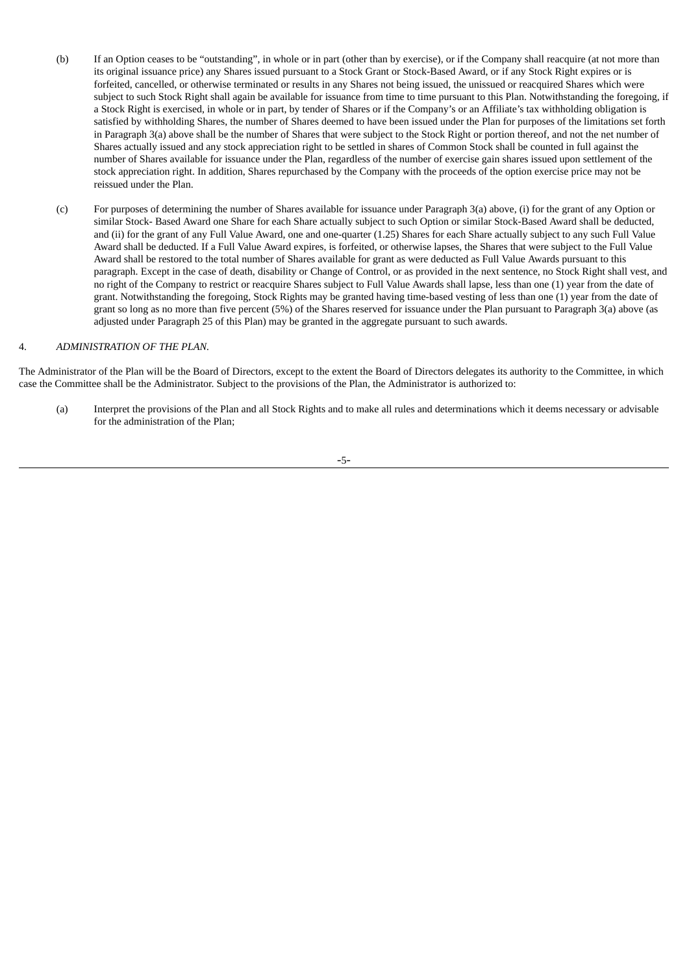- (b) If an Option ceases to be "outstanding", in whole or in part (other than by exercise), or if the Company shall reacquire (at not more than its original issuance price) any Shares issued pursuant to a Stock Grant or Stock-Based Award, or if any Stock Right expires or is forfeited, cancelled, or otherwise terminated or results in any Shares not being issued, the unissued or reacquired Shares which were subject to such Stock Right shall again be available for issuance from time to time pursuant to this Plan. Notwithstanding the foregoing, if a Stock Right is exercised, in whole or in part, by tender of Shares or if the Company's or an Affiliate's tax withholding obligation is satisfied by withholding Shares, the number of Shares deemed to have been issued under the Plan for purposes of the limitations set forth in Paragraph 3(a) above shall be the number of Shares that were subject to the Stock Right or portion thereof, and not the net number of Shares actually issued and any stock appreciation right to be settled in shares of Common Stock shall be counted in full against the number of Shares available for issuance under the Plan, regardless of the number of exercise gain shares issued upon settlement of the stock appreciation right. In addition, Shares repurchased by the Company with the proceeds of the option exercise price may not be reissued under the Plan.
- (c) For purposes of determining the number of Shares available for issuance under Paragraph 3(a) above, (i) for the grant of any Option or similar Stock- Based Award one Share for each Share actually subject to such Option or similar Stock-Based Award shall be deducted, and (ii) for the grant of any Full Value Award, one and one-quarter (1.25) Shares for each Share actually subject to any such Full Value Award shall be deducted. If a Full Value Award expires, is forfeited, or otherwise lapses, the Shares that were subject to the Full Value Award shall be restored to the total number of Shares available for grant as were deducted as Full Value Awards pursuant to this paragraph. Except in the case of death, disability or Change of Control, or as provided in the next sentence, no Stock Right shall vest, and no right of the Company to restrict or reacquire Shares subject to Full Value Awards shall lapse, less than one (1) year from the date of grant. Notwithstanding the foregoing, Stock Rights may be granted having time-based vesting of less than one (1) year from the date of grant so long as no more than five percent (5%) of the Shares reserved for issuance under the Plan pursuant to Paragraph 3(a) above (as adjusted under Paragraph 25 of this Plan) may be granted in the aggregate pursuant to such awards.

#### 4. *ADMINISTRATION OF THE PLAN.*

The Administrator of the Plan will be the Board of Directors, except to the extent the Board of Directors delegates its authority to the Committee, in which case the Committee shall be the Administrator. Subject to the provisions of the Plan, the Administrator is authorized to:

(a) Interpret the provisions of the Plan and all Stock Rights and to make all rules and determinations which it deems necessary or advisable for the administration of the Plan;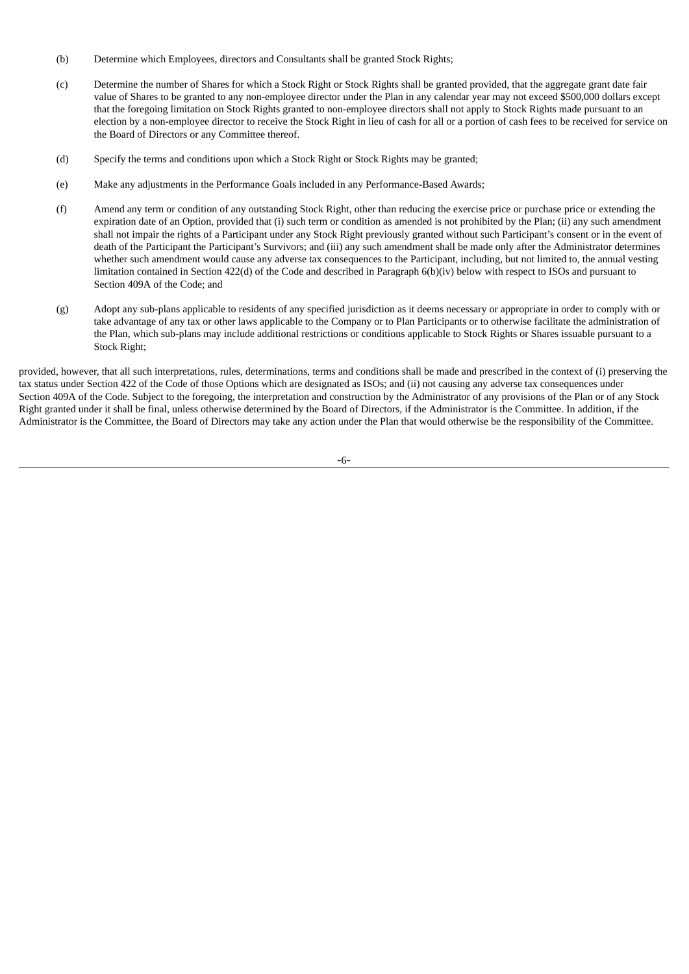- (b) Determine which Employees, directors and Consultants shall be granted Stock Rights;
- (c) Determine the number of Shares for which a Stock Right or Stock Rights shall be granted provided, that the aggregate grant date fair value of Shares to be granted to any non-employee director under the Plan in any calendar year may not exceed \$500,000 dollars except that the foregoing limitation on Stock Rights granted to non-employee directors shall not apply to Stock Rights made pursuant to an election by a non-employee director to receive the Stock Right in lieu of cash for all or a portion of cash fees to be received for service on the Board of Directors or any Committee thereof.
- (d) Specify the terms and conditions upon which a Stock Right or Stock Rights may be granted;
- (e) Make any adjustments in the Performance Goals included in any Performance-Based Awards;
- (f) Amend any term or condition of any outstanding Stock Right, other than reducing the exercise price or purchase price or extending the expiration date of an Option, provided that (i) such term or condition as amended is not prohibited by the Plan; (ii) any such amendment shall not impair the rights of a Participant under any Stock Right previously granted without such Participant's consent or in the event of death of the Participant the Participant's Survivors; and (iii) any such amendment shall be made only after the Administrator determines whether such amendment would cause any adverse tax consequences to the Participant, including, but not limited to, the annual vesting limitation contained in Section 422(d) of the Code and described in Paragraph 6(b)(iv) below with respect to ISOs and pursuant to Section 409A of the Code; and
- (g) Adopt any sub-plans applicable to residents of any specified jurisdiction as it deems necessary or appropriate in order to comply with or take advantage of any tax or other laws applicable to the Company or to Plan Participants or to otherwise facilitate the administration of the Plan, which sub-plans may include additional restrictions or conditions applicable to Stock Rights or Shares issuable pursuant to a Stock Right;

provided, however, that all such interpretations, rules, determinations, terms and conditions shall be made and prescribed in the context of (i) preserving the tax status under Section 422 of the Code of those Options which are designated as ISOs; and (ii) not causing any adverse tax consequences under Section 409A of the Code. Subject to the foregoing, the interpretation and construction by the Administrator of any provisions of the Plan or of any Stock Right granted under it shall be final, unless otherwise determined by the Board of Directors, if the Administrator is the Committee. In addition, if the Administrator is the Committee, the Board of Directors may take any action under the Plan that would otherwise be the responsibility of the Committee.

-6-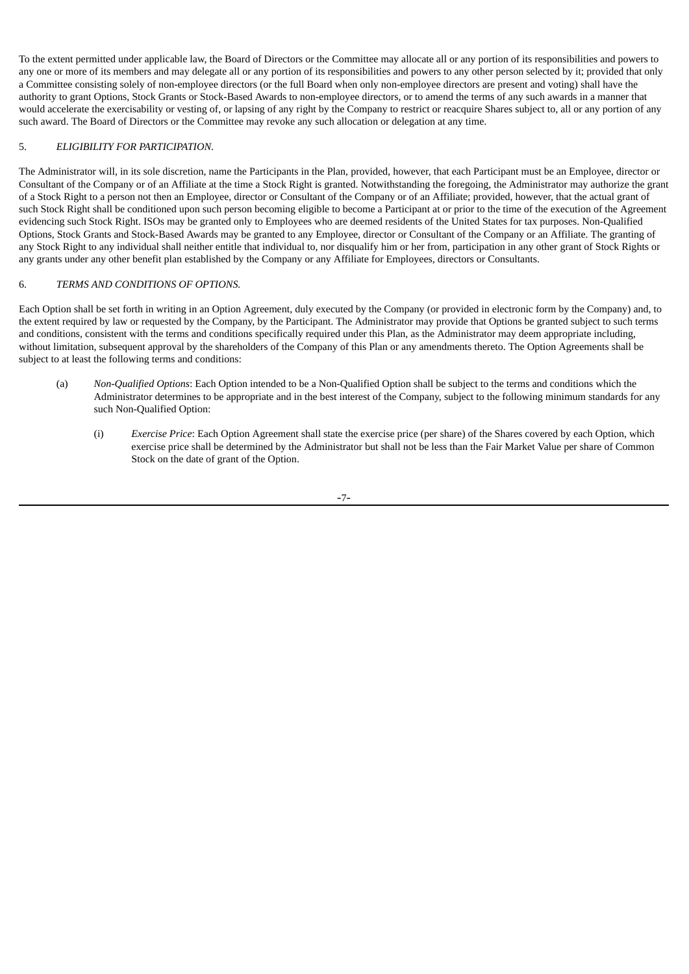To the extent permitted under applicable law, the Board of Directors or the Committee may allocate all or any portion of its responsibilities and powers to any one or more of its members and may delegate all or any portion of its responsibilities and powers to any other person selected by it; provided that only a Committee consisting solely of non-employee directors (or the full Board when only non-employee directors are present and voting) shall have the authority to grant Options, Stock Grants or Stock-Based Awards to non-employee directors, or to amend the terms of any such awards in a manner that would accelerate the exercisability or vesting of, or lapsing of any right by the Company to restrict or reacquire Shares subject to, all or any portion of any such award. The Board of Directors or the Committee may revoke any such allocation or delegation at any time.

#### 5. *ELIGIBILITY FOR PARTICIPATION.*

The Administrator will, in its sole discretion, name the Participants in the Plan, provided, however, that each Participant must be an Employee, director or Consultant of the Company or of an Affiliate at the time a Stock Right is granted. Notwithstanding the foregoing, the Administrator may authorize the grant of a Stock Right to a person not then an Employee, director or Consultant of the Company or of an Affiliate; provided, however, that the actual grant of such Stock Right shall be conditioned upon such person becoming eligible to become a Participant at or prior to the time of the execution of the Agreement evidencing such Stock Right. ISOs may be granted only to Employees who are deemed residents of the United States for tax purposes. Non-Qualified Options, Stock Grants and Stock-Based Awards may be granted to any Employee, director or Consultant of the Company or an Affiliate. The granting of any Stock Right to any individual shall neither entitle that individual to, nor disqualify him or her from, participation in any other grant of Stock Rights or any grants under any other benefit plan established by the Company or any Affiliate for Employees, directors or Consultants.

# 6. *TERMS AND CONDITIONS OF OPTIONS.*

Each Option shall be set forth in writing in an Option Agreement, duly executed by the Company (or provided in electronic form by the Company) and, to the extent required by law or requested by the Company, by the Participant. The Administrator may provide that Options be granted subject to such terms and conditions, consistent with the terms and conditions specifically required under this Plan, as the Administrator may deem appropriate including, without limitation, subsequent approval by the shareholders of the Company of this Plan or any amendments thereto. The Option Agreements shall be subject to at least the following terms and conditions:

- (a) *Non-Qualified Options*: Each Option intended to be a Non-Qualified Option shall be subject to the terms and conditions which the Administrator determines to be appropriate and in the best interest of the Company, subject to the following minimum standards for any such Non-Qualified Option:
	- (i) *Exercise Price*: Each Option Agreement shall state the exercise price (per share) of the Shares covered by each Option, which exercise price shall be determined by the Administrator but shall not be less than the Fair Market Value per share of Common Stock on the date of grant of the Option.

-7-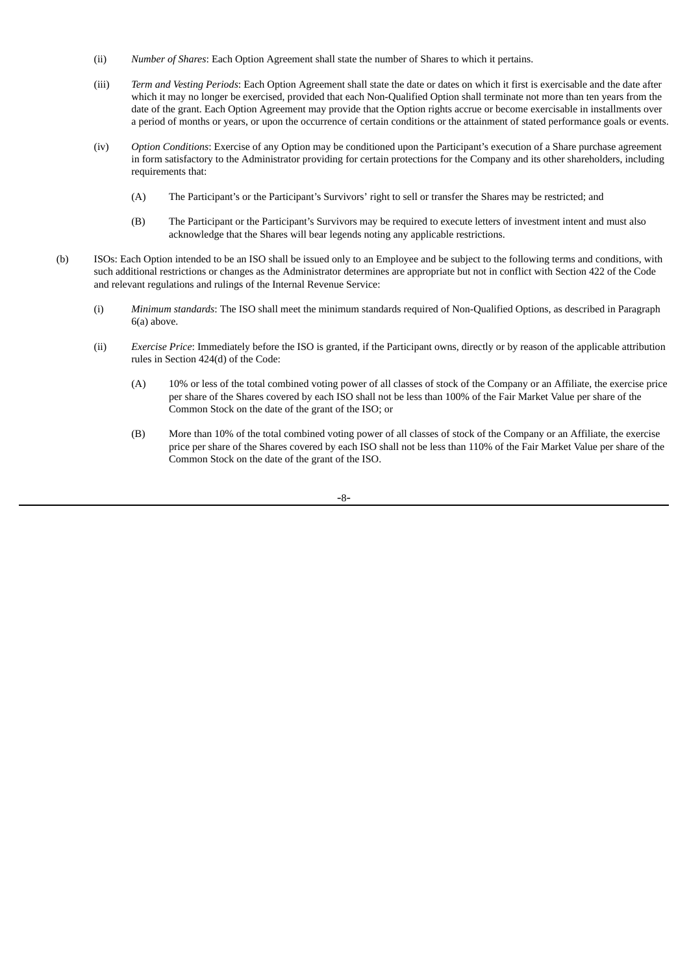- (ii) *Number of Shares*: Each Option Agreement shall state the number of Shares to which it pertains.
- (iii) *Term and Vesting Periods*: Each Option Agreement shall state the date or dates on which it first is exercisable and the date after which it may no longer be exercised, provided that each Non-Qualified Option shall terminate not more than ten years from the date of the grant. Each Option Agreement may provide that the Option rights accrue or become exercisable in installments over a period of months or years, or upon the occurrence of certain conditions or the attainment of stated performance goals or events.
- (iv) *Option Conditions*: Exercise of any Option may be conditioned upon the Participant's execution of a Share purchase agreement in form satisfactory to the Administrator providing for certain protections for the Company and its other shareholders, including requirements that:
	- (A) The Participant's or the Participant's Survivors' right to sell or transfer the Shares may be restricted; and
	- (B) The Participant or the Participant's Survivors may be required to execute letters of investment intent and must also acknowledge that the Shares will bear legends noting any applicable restrictions.
- (b) ISOs: Each Option intended to be an ISO shall be issued only to an Employee and be subject to the following terms and conditions, with such additional restrictions or changes as the Administrator determines are appropriate but not in conflict with Section 422 of the Code and relevant regulations and rulings of the Internal Revenue Service:
	- (i) *Minimum standards*: The ISO shall meet the minimum standards required of Non-Qualified Options, as described in Paragraph 6(a) above.
	- (ii) *Exercise Price*: Immediately before the ISO is granted, if the Participant owns, directly or by reason of the applicable attribution rules in Section 424(d) of the Code:
		- (A) 10% or less of the total combined voting power of all classes of stock of the Company or an Affiliate, the exercise price per share of the Shares covered by each ISO shall not be less than 100% of the Fair Market Value per share of the Common Stock on the date of the grant of the ISO; or
		- (B) More than 10% of the total combined voting power of all classes of stock of the Company or an Affiliate, the exercise price per share of the Shares covered by each ISO shall not be less than 110% of the Fair Market Value per share of the Common Stock on the date of the grant of the ISO.

-8-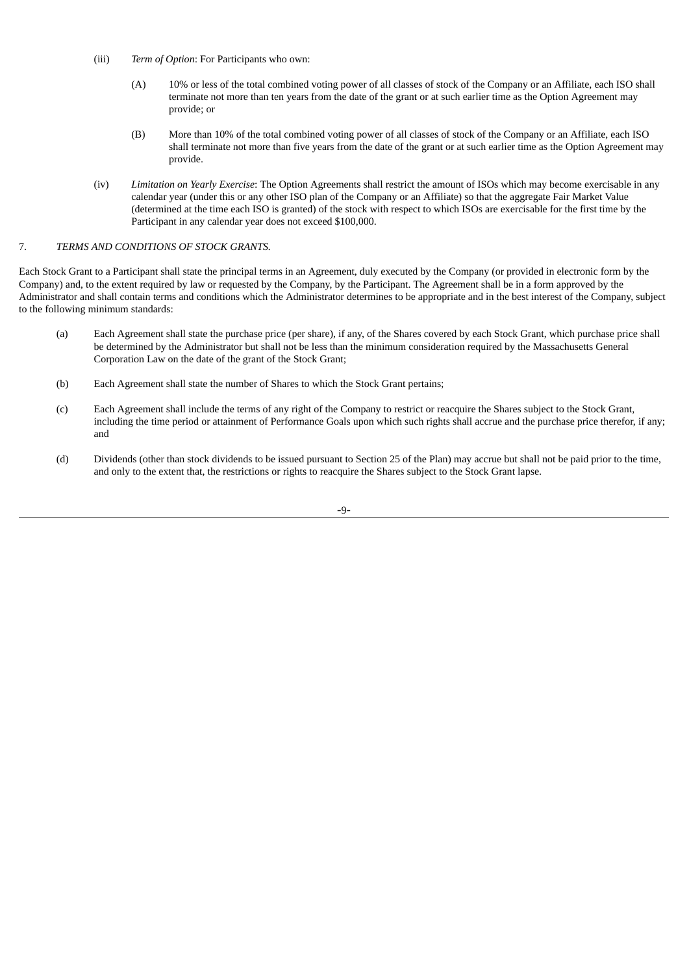- (iii) *Term of Option*: For Participants who own:
	- (A) 10% or less of the total combined voting power of all classes of stock of the Company or an Affiliate, each ISO shall terminate not more than ten years from the date of the grant or at such earlier time as the Option Agreement may provide; or
	- (B) More than 10% of the total combined voting power of all classes of stock of the Company or an Affiliate, each ISO shall terminate not more than five years from the date of the grant or at such earlier time as the Option Agreement may provide.
- (iv) *Limitation on Yearly Exercise*: The Option Agreements shall restrict the amount of ISOs which may become exercisable in any calendar year (under this or any other ISO plan of the Company or an Affiliate) so that the aggregate Fair Market Value (determined at the time each ISO is granted) of the stock with respect to which ISOs are exercisable for the first time by the Participant in any calendar year does not exceed \$100,000.

# 7. *TERMS AND CONDITIONS OF STOCK GRANTS.*

Each Stock Grant to a Participant shall state the principal terms in an Agreement, duly executed by the Company (or provided in electronic form by the Company) and, to the extent required by law or requested by the Company, by the Participant. The Agreement shall be in a form approved by the Administrator and shall contain terms and conditions which the Administrator determines to be appropriate and in the best interest of the Company, subject to the following minimum standards:

- (a) Each Agreement shall state the purchase price (per share), if any, of the Shares covered by each Stock Grant, which purchase price shall be determined by the Administrator but shall not be less than the minimum consideration required by the Massachusetts General Corporation Law on the date of the grant of the Stock Grant;
- (b) Each Agreement shall state the number of Shares to which the Stock Grant pertains;
- (c) Each Agreement shall include the terms of any right of the Company to restrict or reacquire the Shares subject to the Stock Grant, including the time period or attainment of Performance Goals upon which such rights shall accrue and the purchase price therefor, if any; and
- (d) Dividends (other than stock dividends to be issued pursuant to Section 25 of the Plan) may accrue but shall not be paid prior to the time, and only to the extent that, the restrictions or rights to reacquire the Shares subject to the Stock Grant lapse.

-9-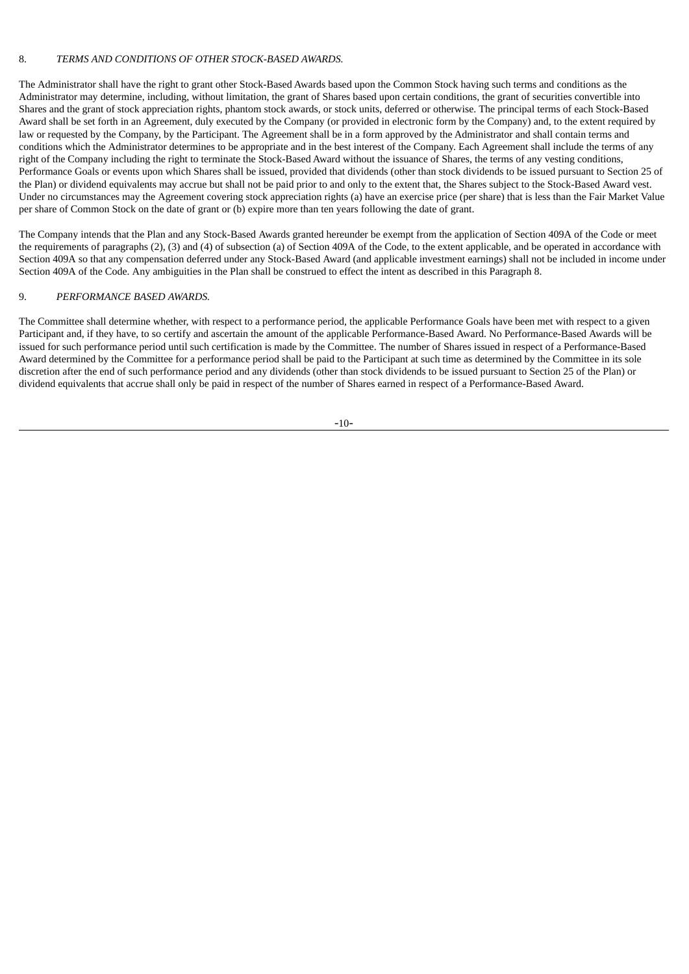#### 8. *TERMS AND CONDITIONS OF OTHER STOCK-BASED AWARDS.*

The Administrator shall have the right to grant other Stock-Based Awards based upon the Common Stock having such terms and conditions as the Administrator may determine, including, without limitation, the grant of Shares based upon certain conditions, the grant of securities convertible into Shares and the grant of stock appreciation rights, phantom stock awards, or stock units, deferred or otherwise. The principal terms of each Stock-Based Award shall be set forth in an Agreement, duly executed by the Company (or provided in electronic form by the Company) and, to the extent required by law or requested by the Company, by the Participant. The Agreement shall be in a form approved by the Administrator and shall contain terms and conditions which the Administrator determines to be appropriate and in the best interest of the Company. Each Agreement shall include the terms of any right of the Company including the right to terminate the Stock-Based Award without the issuance of Shares, the terms of any vesting conditions, Performance Goals or events upon which Shares shall be issued, provided that dividends (other than stock dividends to be issued pursuant to Section 25 of the Plan) or dividend equivalents may accrue but shall not be paid prior to and only to the extent that, the Shares subject to the Stock-Based Award vest. Under no circumstances may the Agreement covering stock appreciation rights (a) have an exercise price (per share) that is less than the Fair Market Value per share of Common Stock on the date of grant or (b) expire more than ten years following the date of grant.

The Company intends that the Plan and any Stock-Based Awards granted hereunder be exempt from the application of Section 409A of the Code or meet the requirements of paragraphs (2), (3) and (4) of subsection (a) of Section 409A of the Code, to the extent applicable, and be operated in accordance with Section 409A so that any compensation deferred under any Stock-Based Award (and applicable investment earnings) shall not be included in income under Section 409A of the Code. Any ambiguities in the Plan shall be construed to effect the intent as described in this Paragraph 8.

# 9. *PERFORMANCE BASED AWARDS.*

The Committee shall determine whether, with respect to a performance period, the applicable Performance Goals have been met with respect to a given Participant and, if they have, to so certify and ascertain the amount of the applicable Performance-Based Award. No Performance-Based Awards will be issued for such performance period until such certification is made by the Committee. The number of Shares issued in respect of a Performance-Based Award determined by the Committee for a performance period shall be paid to the Participant at such time as determined by the Committee in its sole discretion after the end of such performance period and any dividends (other than stock dividends to be issued pursuant to Section 25 of the Plan) or dividend equivalents that accrue shall only be paid in respect of the number of Shares earned in respect of a Performance-Based Award.

-10-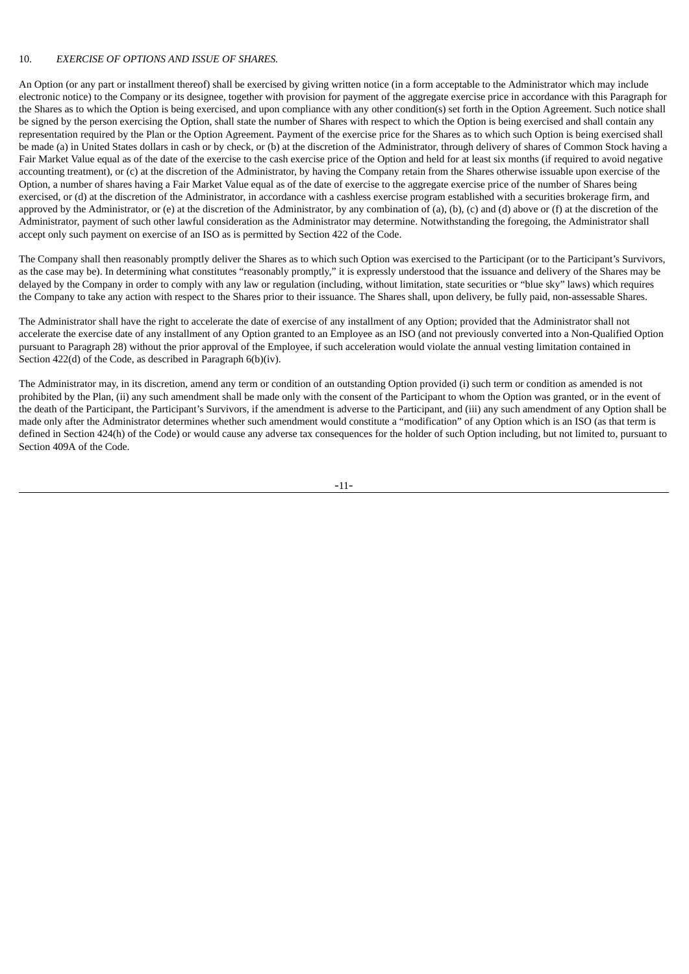# 10. *EXERCISE OF OPTIONS AND ISSUE OF SHARES.*

An Option (or any part or installment thereof) shall be exercised by giving written notice (in a form acceptable to the Administrator which may include electronic notice) to the Company or its designee, together with provision for payment of the aggregate exercise price in accordance with this Paragraph for the Shares as to which the Option is being exercised, and upon compliance with any other condition(s) set forth in the Option Agreement. Such notice shall be signed by the person exercising the Option, shall state the number of Shares with respect to which the Option is being exercised and shall contain any representation required by the Plan or the Option Agreement. Payment of the exercise price for the Shares as to which such Option is being exercised shall be made (a) in United States dollars in cash or by check, or (b) at the discretion of the Administrator, through delivery of shares of Common Stock having a Fair Market Value equal as of the date of the exercise to the cash exercise price of the Option and held for at least six months (if required to avoid negative accounting treatment), or (c) at the discretion of the Administrator, by having the Company retain from the Shares otherwise issuable upon exercise of the Option, a number of shares having a Fair Market Value equal as of the date of exercise to the aggregate exercise price of the number of Shares being exercised, or (d) at the discretion of the Administrator, in accordance with a cashless exercise program established with a securities brokerage firm, and approved by the Administrator, or (e) at the discretion of the Administrator, by any combination of (a), (b), (c) and (d) above or (f) at the discretion of the Administrator, payment of such other lawful consideration as the Administrator may determine. Notwithstanding the foregoing, the Administrator shall accept only such payment on exercise of an ISO as is permitted by Section 422 of the Code.

The Company shall then reasonably promptly deliver the Shares as to which such Option was exercised to the Participant (or to the Participant's Survivors, as the case may be). In determining what constitutes "reasonably promptly," it is expressly understood that the issuance and delivery of the Shares may be delayed by the Company in order to comply with any law or regulation (including, without limitation, state securities or "blue sky" laws) which requires the Company to take any action with respect to the Shares prior to their issuance. The Shares shall, upon delivery, be fully paid, non-assessable Shares.

The Administrator shall have the right to accelerate the date of exercise of any installment of any Option; provided that the Administrator shall not accelerate the exercise date of any installment of any Option granted to an Employee as an ISO (and not previously converted into a Non-Qualified Option pursuant to Paragraph 28) without the prior approval of the Employee, if such acceleration would violate the annual vesting limitation contained in Section 422(d) of the Code, as described in Paragraph 6(b)(iv).

The Administrator may, in its discretion, amend any term or condition of an outstanding Option provided (i) such term or condition as amended is not prohibited by the Plan, (ii) any such amendment shall be made only with the consent of the Participant to whom the Option was granted, or in the event of the death of the Participant, the Participant's Survivors, if the amendment is adverse to the Participant, and (iii) any such amendment of any Option shall be made only after the Administrator determines whether such amendment would constitute a "modification" of any Option which is an ISO (as that term is defined in Section 424(h) of the Code) or would cause any adverse tax consequences for the holder of such Option including, but not limited to, pursuant to Section 409A of the Code.

-11-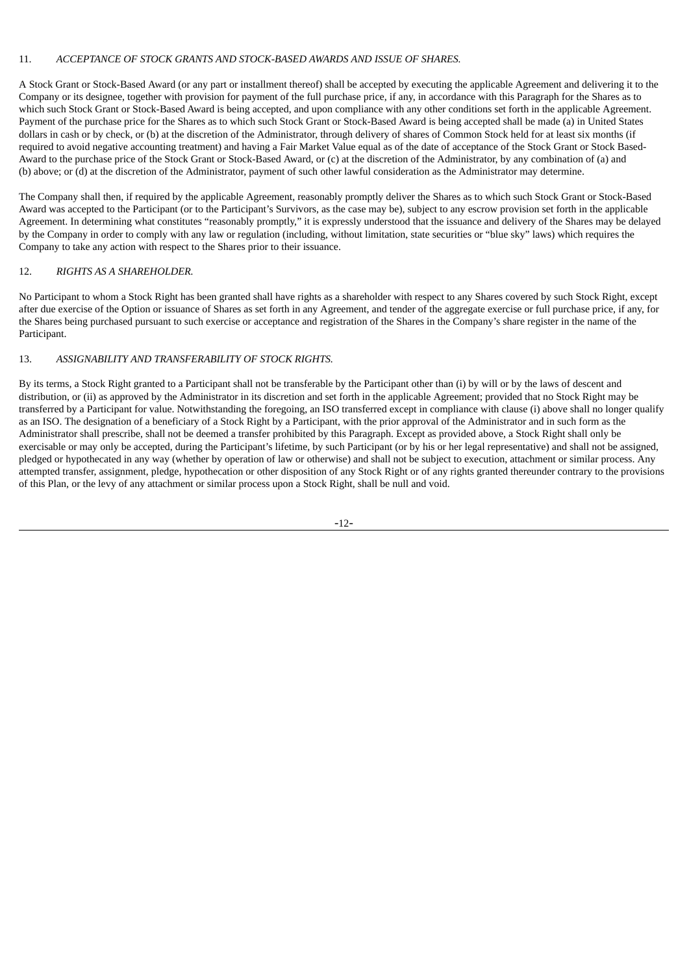#### 11. *ACCEPTANCE OF STOCK GRANTS AND STOCK-BASED AWARDS AND ISSUE OF SHARES.*

A Stock Grant or Stock-Based Award (or any part or installment thereof) shall be accepted by executing the applicable Agreement and delivering it to the Company or its designee, together with provision for payment of the full purchase price, if any, in accordance with this Paragraph for the Shares as to which such Stock Grant or Stock-Based Award is being accepted, and upon compliance with any other conditions set forth in the applicable Agreement. Payment of the purchase price for the Shares as to which such Stock Grant or Stock-Based Award is being accepted shall be made (a) in United States dollars in cash or by check, or (b) at the discretion of the Administrator, through delivery of shares of Common Stock held for at least six months (if required to avoid negative accounting treatment) and having a Fair Market Value equal as of the date of acceptance of the Stock Grant or Stock Based-Award to the purchase price of the Stock Grant or Stock-Based Award, or (c) at the discretion of the Administrator, by any combination of (a) and (b) above; or (d) at the discretion of the Administrator, payment of such other lawful consideration as the Administrator may determine.

The Company shall then, if required by the applicable Agreement, reasonably promptly deliver the Shares as to which such Stock Grant or Stock-Based Award was accepted to the Participant (or to the Participant's Survivors, as the case may be), subject to any escrow provision set forth in the applicable Agreement. In determining what constitutes "reasonably promptly," it is expressly understood that the issuance and delivery of the Shares may be delayed by the Company in order to comply with any law or regulation (including, without limitation, state securities or "blue sky" laws) which requires the Company to take any action with respect to the Shares prior to their issuance.

#### 12. *RIGHTS AS A SHAREHOLDER.*

No Participant to whom a Stock Right has been granted shall have rights as a shareholder with respect to any Shares covered by such Stock Right, except after due exercise of the Option or issuance of Shares as set forth in any Agreement, and tender of the aggregate exercise or full purchase price, if any, for the Shares being purchased pursuant to such exercise or acceptance and registration of the Shares in the Company's share register in the name of the Participant.

# 13. *ASSIGNABILITY AND TRANSFERABILITY OF STOCK RIGHTS.*

By its terms, a Stock Right granted to a Participant shall not be transferable by the Participant other than (i) by will or by the laws of descent and distribution, or (ii) as approved by the Administrator in its discretion and set forth in the applicable Agreement; provided that no Stock Right may be transferred by a Participant for value. Notwithstanding the foregoing, an ISO transferred except in compliance with clause (i) above shall no longer qualify as an ISO. The designation of a beneficiary of a Stock Right by a Participant, with the prior approval of the Administrator and in such form as the Administrator shall prescribe, shall not be deemed a transfer prohibited by this Paragraph. Except as provided above, a Stock Right shall only be exercisable or may only be accepted, during the Participant's lifetime, by such Participant (or by his or her legal representative) and shall not be assigned, pledged or hypothecated in any way (whether by operation of law or otherwise) and shall not be subject to execution, attachment or similar process. Any attempted transfer, assignment, pledge, hypothecation or other disposition of any Stock Right or of any rights granted thereunder contrary to the provisions of this Plan, or the levy of any attachment or similar process upon a Stock Right, shall be null and void.

-12-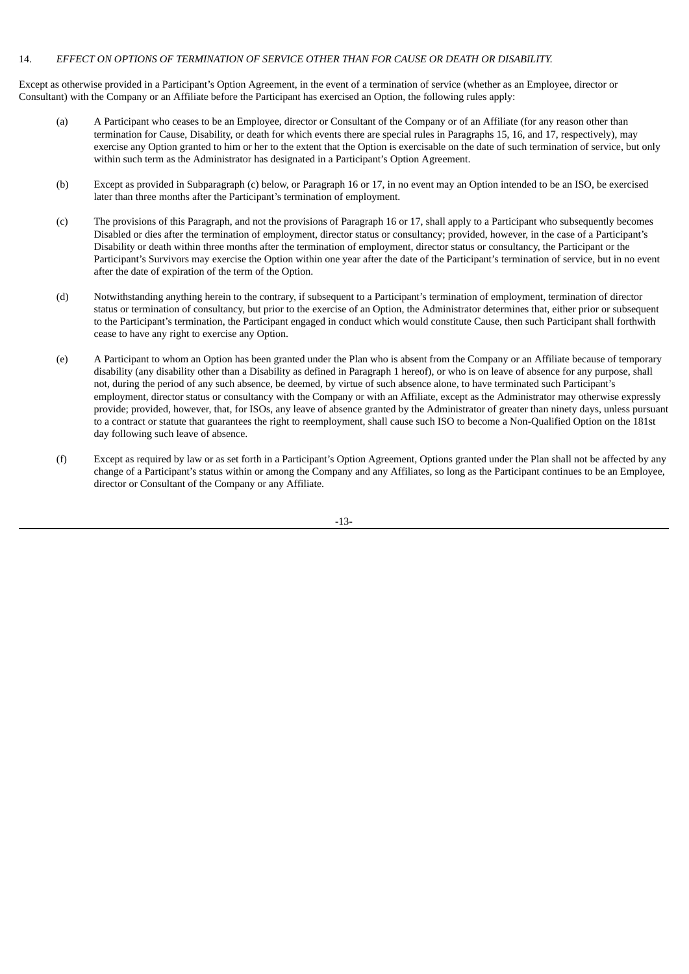#### 14. *EFFECT ON OPTIONS OF TERMINATION OF SERVICE OTHER THAN FOR CAUSE OR DEATH OR DISABILITY.*

Except as otherwise provided in a Participant's Option Agreement, in the event of a termination of service (whether as an Employee, director or Consultant) with the Company or an Affiliate before the Participant has exercised an Option, the following rules apply:

- (a) A Participant who ceases to be an Employee, director or Consultant of the Company or of an Affiliate (for any reason other than termination for Cause, Disability, or death for which events there are special rules in Paragraphs 15, 16, and 17, respectively), may exercise any Option granted to him or her to the extent that the Option is exercisable on the date of such termination of service, but only within such term as the Administrator has designated in a Participant's Option Agreement.
- (b) Except as provided in Subparagraph (c) below, or Paragraph 16 or 17, in no event may an Option intended to be an ISO, be exercised later than three months after the Participant's termination of employment.
- (c) The provisions of this Paragraph, and not the provisions of Paragraph 16 or 17, shall apply to a Participant who subsequently becomes Disabled or dies after the termination of employment, director status or consultancy; provided, however, in the case of a Participant's Disability or death within three months after the termination of employment, director status or consultancy, the Participant or the Participant's Survivors may exercise the Option within one year after the date of the Participant's termination of service, but in no event after the date of expiration of the term of the Option.
- (d) Notwithstanding anything herein to the contrary, if subsequent to a Participant's termination of employment, termination of director status or termination of consultancy, but prior to the exercise of an Option, the Administrator determines that, either prior or subsequent to the Participant's termination, the Participant engaged in conduct which would constitute Cause, then such Participant shall forthwith cease to have any right to exercise any Option.
- (e) A Participant to whom an Option has been granted under the Plan who is absent from the Company or an Affiliate because of temporary disability (any disability other than a Disability as defined in Paragraph 1 hereof), or who is on leave of absence for any purpose, shall not, during the period of any such absence, be deemed, by virtue of such absence alone, to have terminated such Participant's employment, director status or consultancy with the Company or with an Affiliate, except as the Administrator may otherwise expressly provide; provided, however, that, for ISOs, any leave of absence granted by the Administrator of greater than ninety days, unless pursuant to a contract or statute that guarantees the right to reemployment, shall cause such ISO to become a Non-Qualified Option on the 181st day following such leave of absence.
- (f) Except as required by law or as set forth in a Participant's Option Agreement, Options granted under the Plan shall not be affected by any change of a Participant's status within or among the Company and any Affiliates, so long as the Participant continues to be an Employee, director or Consultant of the Company or any Affiliate.

-13-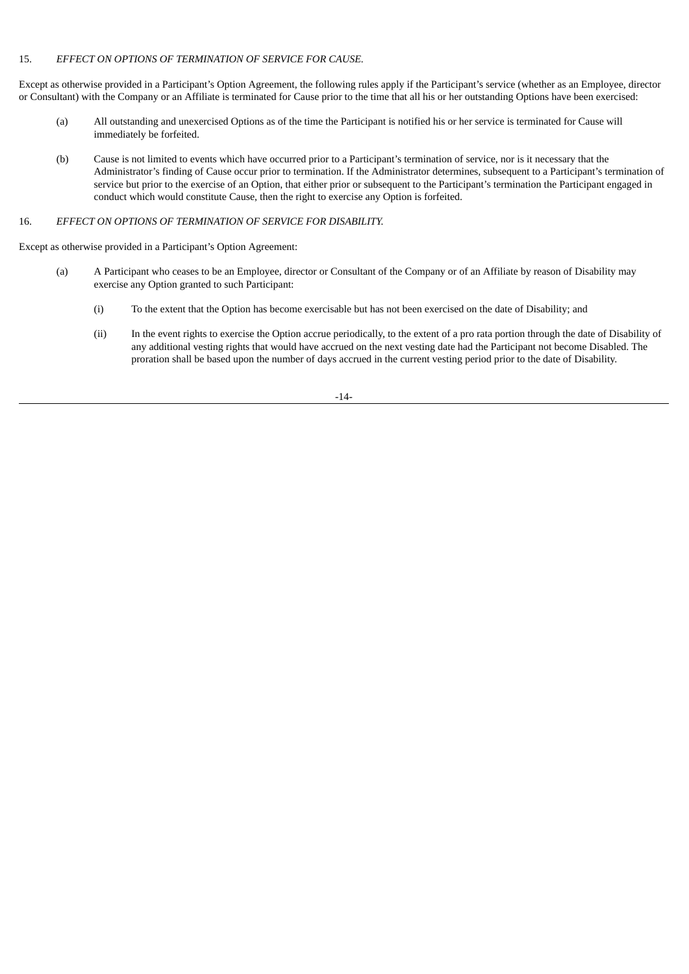#### 15. *EFFECT ON OPTIONS OF TERMINATION OF SERVICE FOR CAUSE.*

Except as otherwise provided in a Participant's Option Agreement, the following rules apply if the Participant's service (whether as an Employee, director or Consultant) with the Company or an Affiliate is terminated for Cause prior to the time that all his or her outstanding Options have been exercised:

- (a) All outstanding and unexercised Options as of the time the Participant is notified his or her service is terminated for Cause will immediately be forfeited.
- (b) Cause is not limited to events which have occurred prior to a Participant's termination of service, nor is it necessary that the Administrator's finding of Cause occur prior to termination. If the Administrator determines, subsequent to a Participant's termination of service but prior to the exercise of an Option, that either prior or subsequent to the Participant's termination the Participant engaged in conduct which would constitute Cause, then the right to exercise any Option is forfeited.

#### 16. *EFFECT ON OPTIONS OF TERMINATION OF SERVICE FOR DISABILITY.*

Except as otherwise provided in a Participant's Option Agreement:

- (a) A Participant who ceases to be an Employee, director or Consultant of the Company or of an Affiliate by reason of Disability may exercise any Option granted to such Participant:
	- (i) To the extent that the Option has become exercisable but has not been exercised on the date of Disability; and
	- (ii) In the event rights to exercise the Option accrue periodically, to the extent of a pro rata portion through the date of Disability of any additional vesting rights that would have accrued on the next vesting date had the Participant not become Disabled. The proration shall be based upon the number of days accrued in the current vesting period prior to the date of Disability.

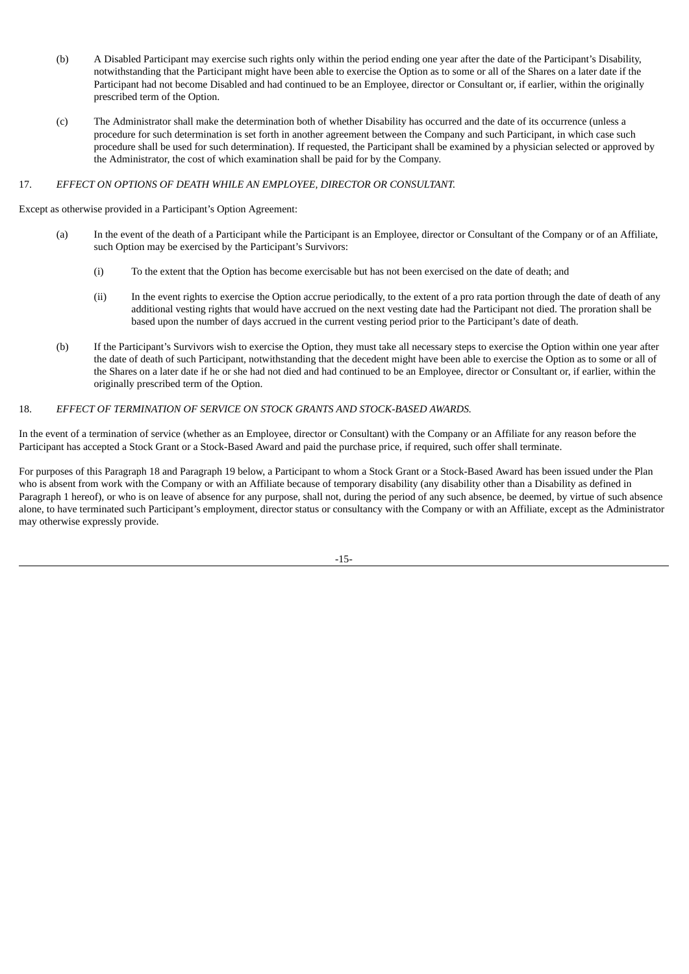- (b) A Disabled Participant may exercise such rights only within the period ending one year after the date of the Participant's Disability, notwithstanding that the Participant might have been able to exercise the Option as to some or all of the Shares on a later date if the Participant had not become Disabled and had continued to be an Employee, director or Consultant or, if earlier, within the originally prescribed term of the Option.
- (c) The Administrator shall make the determination both of whether Disability has occurred and the date of its occurrence (unless a procedure for such determination is set forth in another agreement between the Company and such Participant, in which case such procedure shall be used for such determination). If requested, the Participant shall be examined by a physician selected or approved by the Administrator, the cost of which examination shall be paid for by the Company.

# 17. *EFFECT ON OPTIONS OF DEATH WHILE AN EMPLOYEE, DIRECTOR OR CONSULTANT.*

Except as otherwise provided in a Participant's Option Agreement:

- (a) In the event of the death of a Participant while the Participant is an Employee, director or Consultant of the Company or of an Affiliate, such Option may be exercised by the Participant's Survivors:
	- (i) To the extent that the Option has become exercisable but has not been exercised on the date of death; and
	- (ii) In the event rights to exercise the Option accrue periodically, to the extent of a pro rata portion through the date of death of any additional vesting rights that would have accrued on the next vesting date had the Participant not died. The proration shall be based upon the number of days accrued in the current vesting period prior to the Participant's date of death.
- (b) If the Participant's Survivors wish to exercise the Option, they must take all necessary steps to exercise the Option within one year after the date of death of such Participant, notwithstanding that the decedent might have been able to exercise the Option as to some or all of the Shares on a later date if he or she had not died and had continued to be an Employee, director or Consultant or, if earlier, within the originally prescribed term of the Option.

#### 18. *EFFECT OF TERMINATION OF SERVICE ON STOCK GRANTS AND STOCK-BASED AWARDS.*

In the event of a termination of service (whether as an Employee, director or Consultant) with the Company or an Affiliate for any reason before the Participant has accepted a Stock Grant or a Stock-Based Award and paid the purchase price, if required, such offer shall terminate.

For purposes of this Paragraph 18 and Paragraph 19 below, a Participant to whom a Stock Grant or a Stock-Based Award has been issued under the Plan who is absent from work with the Company or with an Affiliate because of temporary disability (any disability other than a Disability as defined in Paragraph 1 hereof), or who is on leave of absence for any purpose, shall not, during the period of any such absence, be deemed, by virtue of such absence alone, to have terminated such Participant's employment, director status or consultancy with the Company or with an Affiliate, except as the Administrator may otherwise expressly provide.

-15-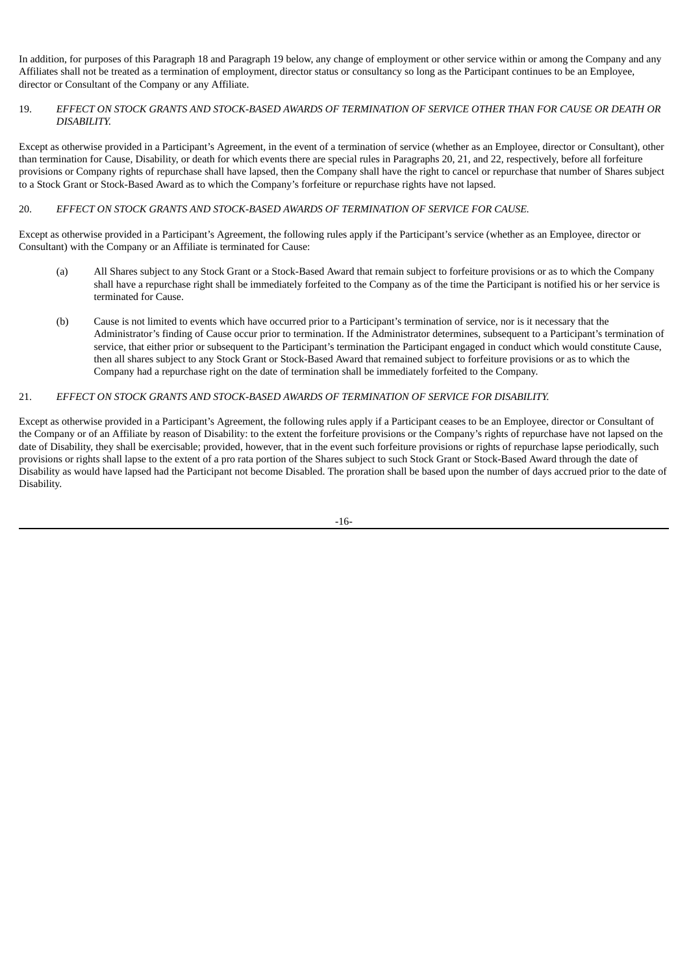In addition, for purposes of this Paragraph 18 and Paragraph 19 below, any change of employment or other service within or among the Company and any Affiliates shall not be treated as a termination of employment, director status or consultancy so long as the Participant continues to be an Employee, director or Consultant of the Company or any Affiliate.

#### 19. EFFECT ON STOCK GRANTS AND STOCK-BASED AWARDS OF TERMINATION OF SERVICE OTHER THAN FOR CAUSE OR DEATH OR *DISABILITY.*

Except as otherwise provided in a Participant's Agreement, in the event of a termination of service (whether as an Employee, director or Consultant), other than termination for Cause, Disability, or death for which events there are special rules in Paragraphs 20, 21, and 22, respectively, before all forfeiture provisions or Company rights of repurchase shall have lapsed, then the Company shall have the right to cancel or repurchase that number of Shares subject to a Stock Grant or Stock-Based Award as to which the Company's forfeiture or repurchase rights have not lapsed.

# 20. *EFFECT ON STOCK GRANTS AND STOCK-BASED AWARDS OF TERMINATION OF SERVICE FOR CAUSE.*

Except as otherwise provided in a Participant's Agreement, the following rules apply if the Participant's service (whether as an Employee, director or Consultant) with the Company or an Affiliate is terminated for Cause:

- (a) All Shares subject to any Stock Grant or a Stock-Based Award that remain subject to forfeiture provisions or as to which the Company shall have a repurchase right shall be immediately forfeited to the Company as of the time the Participant is notified his or her service is terminated for Cause.
- (b) Cause is not limited to events which have occurred prior to a Participant's termination of service, nor is it necessary that the Administrator's finding of Cause occur prior to termination. If the Administrator determines, subsequent to a Participant's termination of service, that either prior or subsequent to the Participant's termination the Participant engaged in conduct which would constitute Cause, then all shares subject to any Stock Grant or Stock-Based Award that remained subject to forfeiture provisions or as to which the Company had a repurchase right on the date of termination shall be immediately forfeited to the Company.

# 21. *EFFECT ON STOCK GRANTS AND STOCK-BASED AWARDS OF TERMINATION OF SERVICE FOR DISABILITY.*

Except as otherwise provided in a Participant's Agreement, the following rules apply if a Participant ceases to be an Employee, director or Consultant of the Company or of an Affiliate by reason of Disability: to the extent the forfeiture provisions or the Company's rights of repurchase have not lapsed on the date of Disability, they shall be exercisable; provided, however, that in the event such forfeiture provisions or rights of repurchase lapse periodically, such provisions or rights shall lapse to the extent of a pro rata portion of the Shares subject to such Stock Grant or Stock-Based Award through the date of Disability as would have lapsed had the Participant not become Disabled. The proration shall be based upon the number of days accrued prior to the date of Disability.

-16-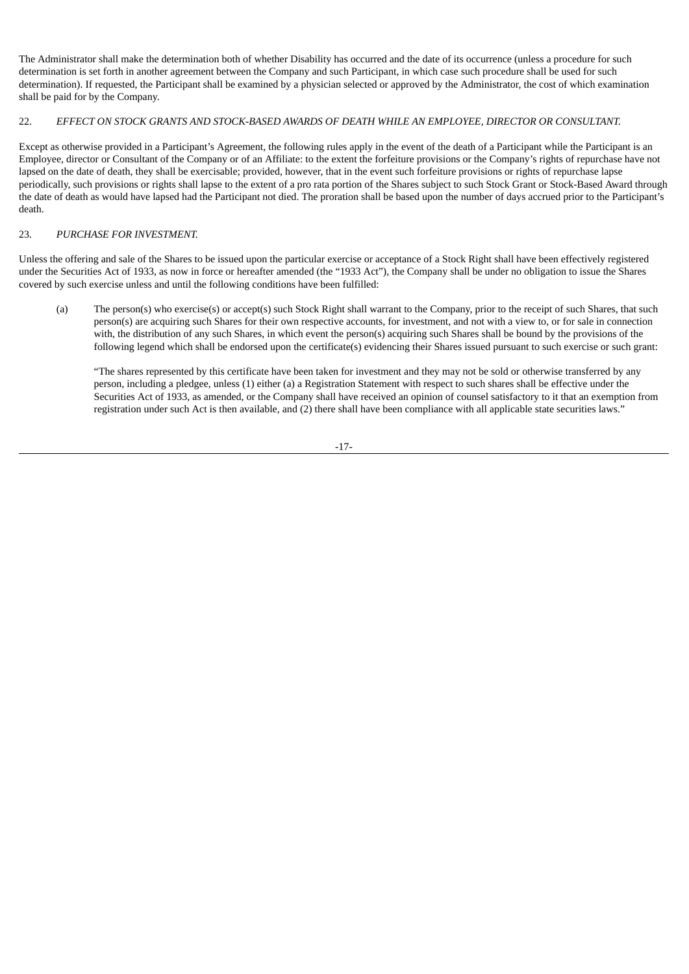The Administrator shall make the determination both of whether Disability has occurred and the date of its occurrence (unless a procedure for such determination is set forth in another agreement between the Company and such Participant, in which case such procedure shall be used for such determination). If requested, the Participant shall be examined by a physician selected or approved by the Administrator, the cost of which examination shall be paid for by the Company.

# 22. *EFFECT ON STOCK GRANTS AND STOCK-BASED AWARDS OF DEATH WHILE AN EMPLOYEE, DIRECTOR OR CONSULTANT.*

Except as otherwise provided in a Participant's Agreement, the following rules apply in the event of the death of a Participant while the Participant is an Employee, director or Consultant of the Company or of an Affiliate: to the extent the forfeiture provisions or the Company's rights of repurchase have not lapsed on the date of death, they shall be exercisable; provided, however, that in the event such forfeiture provisions or rights of repurchase lapse periodically, such provisions or rights shall lapse to the extent of a pro rata portion of the Shares subject to such Stock Grant or Stock-Based Award through the date of death as would have lapsed had the Participant not died. The proration shall be based upon the number of days accrued prior to the Participant's death.

# 23. *PURCHASE FOR INVESTMENT.*

Unless the offering and sale of the Shares to be issued upon the particular exercise or acceptance of a Stock Right shall have been effectively registered under the Securities Act of 1933, as now in force or hereafter amended (the "1933 Act"), the Company shall be under no obligation to issue the Shares covered by such exercise unless and until the following conditions have been fulfilled:

(a) The person(s) who exercise(s) or accept(s) such Stock Right shall warrant to the Company, prior to the receipt of such Shares, that such person(s) are acquiring such Shares for their own respective accounts, for investment, and not with a view to, or for sale in connection with, the distribution of any such Shares, in which event the person(s) acquiring such Shares shall be bound by the provisions of the following legend which shall be endorsed upon the certificate(s) evidencing their Shares issued pursuant to such exercise or such grant:

"The shares represented by this certificate have been taken for investment and they may not be sold or otherwise transferred by any person, including a pledgee, unless (1) either (a) a Registration Statement with respect to such shares shall be effective under the Securities Act of 1933, as amended, or the Company shall have received an opinion of counsel satisfactory to it that an exemption from registration under such Act is then available, and (2) there shall have been compliance with all applicable state securities laws."

-17-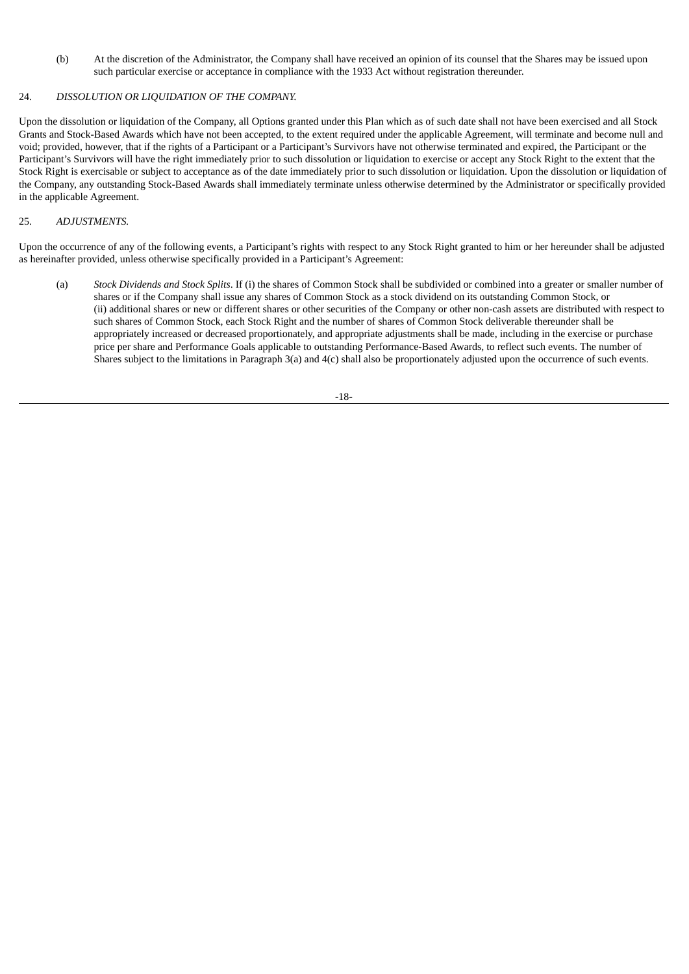(b) At the discretion of the Administrator, the Company shall have received an opinion of its counsel that the Shares may be issued upon such particular exercise or acceptance in compliance with the 1933 Act without registration thereunder.

#### 24. *DISSOLUTION OR LIQUIDATION OF THE COMPANY.*

Upon the dissolution or liquidation of the Company, all Options granted under this Plan which as of such date shall not have been exercised and all Stock Grants and Stock-Based Awards which have not been accepted, to the extent required under the applicable Agreement, will terminate and become null and void; provided, however, that if the rights of a Participant or a Participant's Survivors have not otherwise terminated and expired, the Participant or the Participant's Survivors will have the right immediately prior to such dissolution or liquidation to exercise or accept any Stock Right to the extent that the Stock Right is exercisable or subject to acceptance as of the date immediately prior to such dissolution or liquidation. Upon the dissolution or liquidation of the Company, any outstanding Stock-Based Awards shall immediately terminate unless otherwise determined by the Administrator or specifically provided in the applicable Agreement.

# 25. *ADJUSTMENTS.*

Upon the occurrence of any of the following events, a Participant's rights with respect to any Stock Right granted to him or her hereunder shall be adjusted as hereinafter provided, unless otherwise specifically provided in a Participant's Agreement:

(a) *Stock Dividends and Stock Splits*. If (i) the shares of Common Stock shall be subdivided or combined into a greater or smaller number of shares or if the Company shall issue any shares of Common Stock as a stock dividend on its outstanding Common Stock, or (ii) additional shares or new or different shares or other securities of the Company or other non-cash assets are distributed with respect to such shares of Common Stock, each Stock Right and the number of shares of Common Stock deliverable thereunder shall be appropriately increased or decreased proportionately, and appropriate adjustments shall be made, including in the exercise or purchase price per share and Performance Goals applicable to outstanding Performance-Based Awards, to reflect such events. The number of Shares subject to the limitations in Paragraph 3(a) and 4(c) shall also be proportionately adjusted upon the occurrence of such events.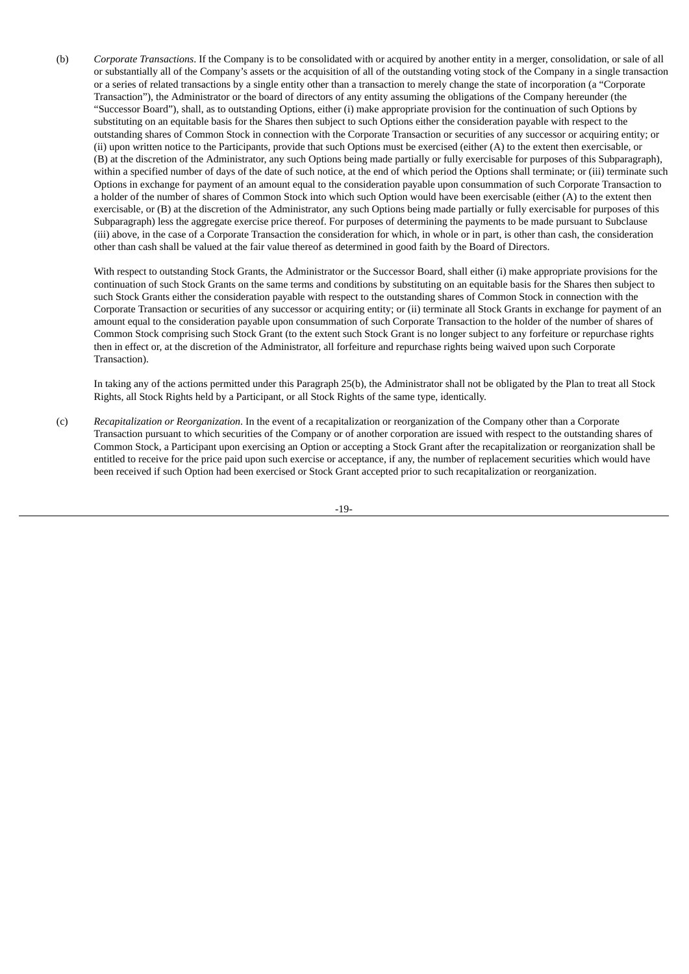(b) *Corporate Transactions*. If the Company is to be consolidated with or acquired by another entity in a merger, consolidation, or sale of all or substantially all of the Company's assets or the acquisition of all of the outstanding voting stock of the Company in a single transaction or a series of related transactions by a single entity other than a transaction to merely change the state of incorporation (a "Corporate Transaction"), the Administrator or the board of directors of any entity assuming the obligations of the Company hereunder (the "Successor Board"), shall, as to outstanding Options, either (i) make appropriate provision for the continuation of such Options by substituting on an equitable basis for the Shares then subject to such Options either the consideration payable with respect to the outstanding shares of Common Stock in connection with the Corporate Transaction or securities of any successor or acquiring entity; or (ii) upon written notice to the Participants, provide that such Options must be exercised (either (A) to the extent then exercisable, or (B) at the discretion of the Administrator, any such Options being made partially or fully exercisable for purposes of this Subparagraph), within a specified number of days of the date of such notice, at the end of which period the Options shall terminate; or (iii) terminate such Options in exchange for payment of an amount equal to the consideration payable upon consummation of such Corporate Transaction to a holder of the number of shares of Common Stock into which such Option would have been exercisable (either (A) to the extent then exercisable, or (B) at the discretion of the Administrator, any such Options being made partially or fully exercisable for purposes of this Subparagraph) less the aggregate exercise price thereof. For purposes of determining the payments to be made pursuant to Subclause (iii) above, in the case of a Corporate Transaction the consideration for which, in whole or in part, is other than cash, the consideration other than cash shall be valued at the fair value thereof as determined in good faith by the Board of Directors.

With respect to outstanding Stock Grants, the Administrator or the Successor Board, shall either (i) make appropriate provisions for the continuation of such Stock Grants on the same terms and conditions by substituting on an equitable basis for the Shares then subject to such Stock Grants either the consideration payable with respect to the outstanding shares of Common Stock in connection with the Corporate Transaction or securities of any successor or acquiring entity; or (ii) terminate all Stock Grants in exchange for payment of an amount equal to the consideration payable upon consummation of such Corporate Transaction to the holder of the number of shares of Common Stock comprising such Stock Grant (to the extent such Stock Grant is no longer subject to any forfeiture or repurchase rights then in effect or, at the discretion of the Administrator, all forfeiture and repurchase rights being waived upon such Corporate Transaction).

In taking any of the actions permitted under this Paragraph 25(b), the Administrator shall not be obligated by the Plan to treat all Stock Rights, all Stock Rights held by a Participant, or all Stock Rights of the same type, identically.

(c) *Recapitalization or Reorganization*. In the event of a recapitalization or reorganization of the Company other than a Corporate Transaction pursuant to which securities of the Company or of another corporation are issued with respect to the outstanding shares of Common Stock, a Participant upon exercising an Option or accepting a Stock Grant after the recapitalization or reorganization shall be entitled to receive for the price paid upon such exercise or acceptance, if any, the number of replacement securities which would have been received if such Option had been exercised or Stock Grant accepted prior to such recapitalization or reorganization.

-19-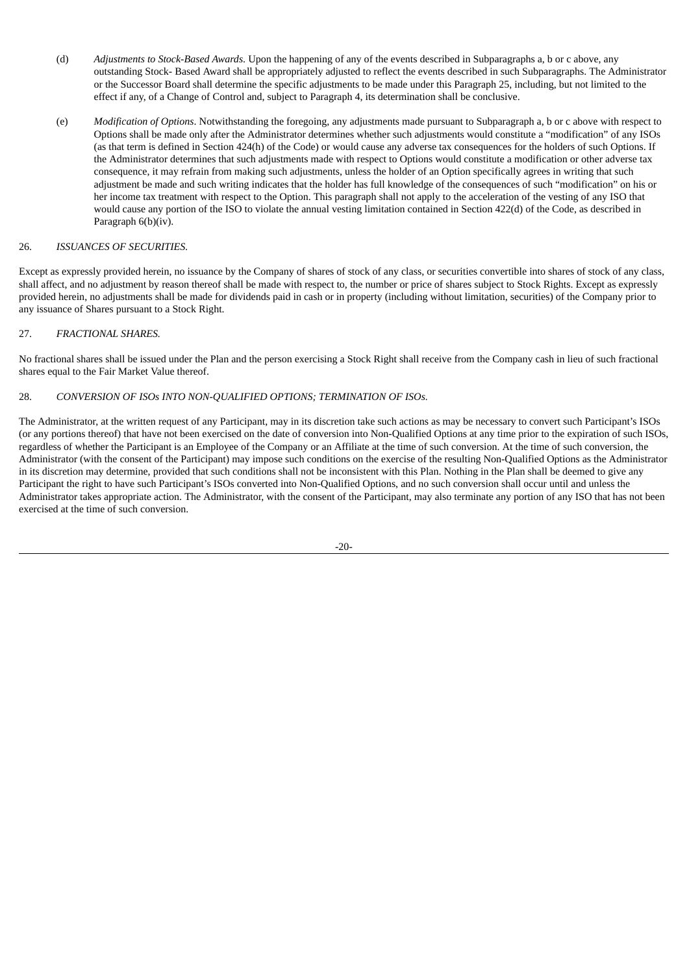- (d) *Adjustments to Stock-Based Awards*. Upon the happening of any of the events described in Subparagraphs a, b or c above, any outstanding Stock- Based Award shall be appropriately adjusted to reflect the events described in such Subparagraphs. The Administrator or the Successor Board shall determine the specific adjustments to be made under this Paragraph 25, including, but not limited to the effect if any, of a Change of Control and, subject to Paragraph 4, its determination shall be conclusive.
- (e) *Modification of Options*. Notwithstanding the foregoing, any adjustments made pursuant to Subparagraph a, b or c above with respect to Options shall be made only after the Administrator determines whether such adjustments would constitute a "modification" of any ISOs (as that term is defined in Section 424(h) of the Code) or would cause any adverse tax consequences for the holders of such Options. If the Administrator determines that such adjustments made with respect to Options would constitute a modification or other adverse tax consequence, it may refrain from making such adjustments, unless the holder of an Option specifically agrees in writing that such adjustment be made and such writing indicates that the holder has full knowledge of the consequences of such "modification" on his or her income tax treatment with respect to the Option. This paragraph shall not apply to the acceleration of the vesting of any ISO that would cause any portion of the ISO to violate the annual vesting limitation contained in Section 422(d) of the Code, as described in Paragraph 6(b)(iv).

# 26. *ISSUANCES OF SECURITIES.*

Except as expressly provided herein, no issuance by the Company of shares of stock of any class, or securities convertible into shares of stock of any class, shall affect, and no adjustment by reason thereof shall be made with respect to, the number or price of shares subject to Stock Rights. Except as expressly provided herein, no adjustments shall be made for dividends paid in cash or in property (including without limitation, securities) of the Company prior to any issuance of Shares pursuant to a Stock Right.

# 27. *FRACTIONAL SHARES.*

No fractional shares shall be issued under the Plan and the person exercising a Stock Right shall receive from the Company cash in lieu of such fractional shares equal to the Fair Market Value thereof.

#### 28. *CONVERSION OF ISOs INTO NON-QUALIFIED OPTIONS; TERMINATION OF ISOs.*

The Administrator, at the written request of any Participant, may in its discretion take such actions as may be necessary to convert such Participant's ISOs (or any portions thereof) that have not been exercised on the date of conversion into Non-Qualified Options at any time prior to the expiration of such ISOs, regardless of whether the Participant is an Employee of the Company or an Affiliate at the time of such conversion. At the time of such conversion, the Administrator (with the consent of the Participant) may impose such conditions on the exercise of the resulting Non-Qualified Options as the Administrator in its discretion may determine, provided that such conditions shall not be inconsistent with this Plan. Nothing in the Plan shall be deemed to give any Participant the right to have such Participant's ISOs converted into Non-Qualified Options, and no such conversion shall occur until and unless the Administrator takes appropriate action. The Administrator, with the consent of the Participant, may also terminate any portion of any ISO that has not been exercised at the time of such conversion.

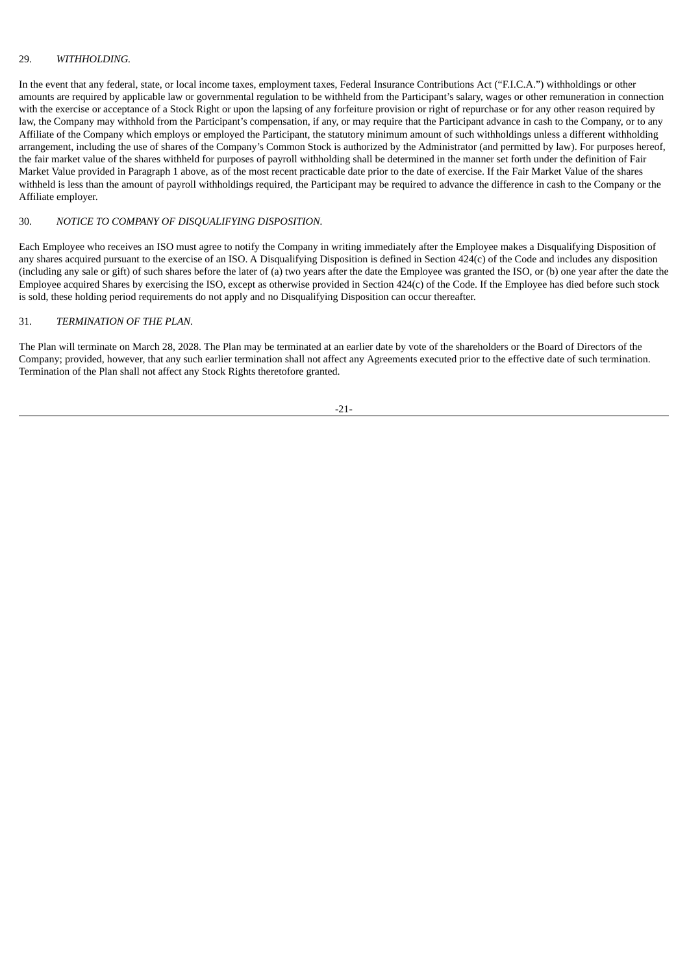#### 29. *WITHHOLDING.*

In the event that any federal, state, or local income taxes, employment taxes, Federal Insurance Contributions Act ("F.I.C.A.") withholdings or other amounts are required by applicable law or governmental regulation to be withheld from the Participant's salary, wages or other remuneration in connection with the exercise or acceptance of a Stock Right or upon the lapsing of any forfeiture provision or right of repurchase or for any other reason required by law, the Company may withhold from the Participant's compensation, if any, or may require that the Participant advance in cash to the Company, or to any Affiliate of the Company which employs or employed the Participant, the statutory minimum amount of such withholdings unless a different withholding arrangement, including the use of shares of the Company's Common Stock is authorized by the Administrator (and permitted by law). For purposes hereof, the fair market value of the shares withheld for purposes of payroll withholding shall be determined in the manner set forth under the definition of Fair Market Value provided in Paragraph 1 above, as of the most recent practicable date prior to the date of exercise. If the Fair Market Value of the shares withheld is less than the amount of payroll withholdings required, the Participant may be required to advance the difference in cash to the Company or the Affiliate employer.

# 30. *NOTICE TO COMPANY OF DISQUALIFYING DISPOSITION.*

Each Employee who receives an ISO must agree to notify the Company in writing immediately after the Employee makes a Disqualifying Disposition of any shares acquired pursuant to the exercise of an ISO. A Disqualifying Disposition is defined in Section 424(c) of the Code and includes any disposition (including any sale or gift) of such shares before the later of (a) two years after the date the Employee was granted the ISO, or (b) one year after the date the Employee acquired Shares by exercising the ISO, except as otherwise provided in Section 424(c) of the Code. If the Employee has died before such stock is sold, these holding period requirements do not apply and no Disqualifying Disposition can occur thereafter.

# 31. *TERMINATION OF THE PLAN.*

The Plan will terminate on March 28, 2028. The Plan may be terminated at an earlier date by vote of the shareholders or the Board of Directors of the Company; provided, however, that any such earlier termination shall not affect any Agreements executed prior to the effective date of such termination. Termination of the Plan shall not affect any Stock Rights theretofore granted.

-21-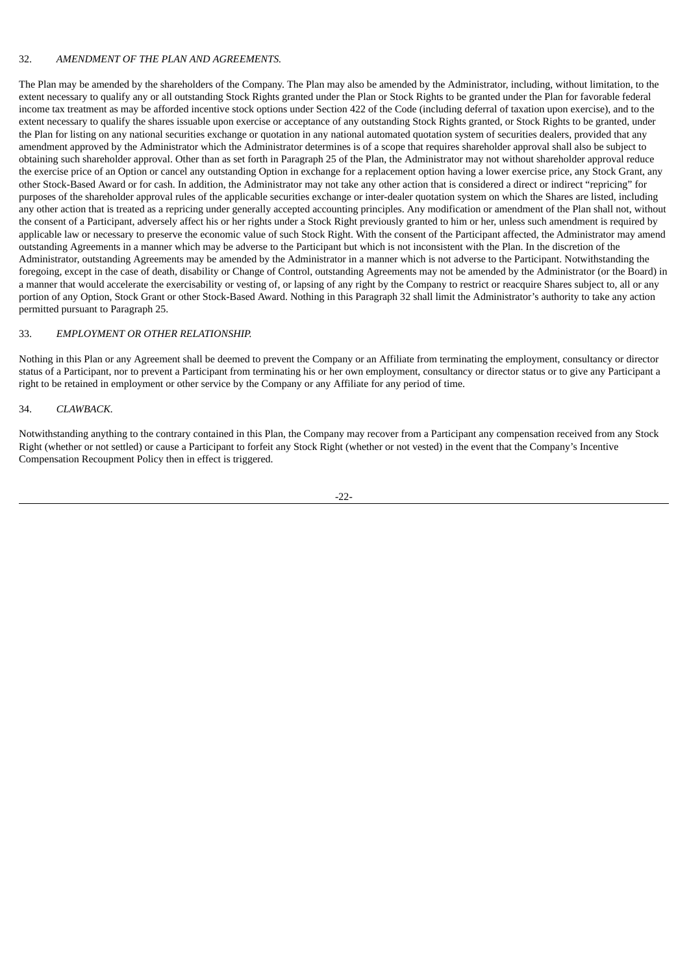#### 32. *AMENDMENT OF THE PLAN AND AGREEMENTS.*

The Plan may be amended by the shareholders of the Company. The Plan may also be amended by the Administrator, including, without limitation, to the extent necessary to qualify any or all outstanding Stock Rights granted under the Plan or Stock Rights to be granted under the Plan for favorable federal income tax treatment as may be afforded incentive stock options under Section 422 of the Code (including deferral of taxation upon exercise), and to the extent necessary to qualify the shares issuable upon exercise or acceptance of any outstanding Stock Rights granted, or Stock Rights to be granted, under the Plan for listing on any national securities exchange or quotation in any national automated quotation system of securities dealers, provided that any amendment approved by the Administrator which the Administrator determines is of a scope that requires shareholder approval shall also be subject to obtaining such shareholder approval. Other than as set forth in Paragraph 25 of the Plan, the Administrator may not without shareholder approval reduce the exercise price of an Option or cancel any outstanding Option in exchange for a replacement option having a lower exercise price, any Stock Grant, any other Stock-Based Award or for cash. In addition, the Administrator may not take any other action that is considered a direct or indirect "repricing" for purposes of the shareholder approval rules of the applicable securities exchange or inter-dealer quotation system on which the Shares are listed, including any other action that is treated as a repricing under generally accepted accounting principles. Any modification or amendment of the Plan shall not, without the consent of a Participant, adversely affect his or her rights under a Stock Right previously granted to him or her, unless such amendment is required by applicable law or necessary to preserve the economic value of such Stock Right. With the consent of the Participant affected, the Administrator may amend outstanding Agreements in a manner which may be adverse to the Participant but which is not inconsistent with the Plan. In the discretion of the Administrator, outstanding Agreements may be amended by the Administrator in a manner which is not adverse to the Participant. Notwithstanding the foregoing, except in the case of death, disability or Change of Control, outstanding Agreements may not be amended by the Administrator (or the Board) in a manner that would accelerate the exercisability or vesting of, or lapsing of any right by the Company to restrict or reacquire Shares subject to, all or any portion of any Option, Stock Grant or other Stock-Based Award. Nothing in this Paragraph 32 shall limit the Administrator's authority to take any action permitted pursuant to Paragraph 25.

#### 33. *EMPLOYMENT OR OTHER RELATIONSHIP.*

Nothing in this Plan or any Agreement shall be deemed to prevent the Company or an Affiliate from terminating the employment, consultancy or director status of a Participant, nor to prevent a Participant from terminating his or her own employment, consultancy or director status or to give any Participant a right to be retained in employment or other service by the Company or any Affiliate for any period of time.

#### 34. *CLAWBACK.*

Notwithstanding anything to the contrary contained in this Plan, the Company may recover from a Participant any compensation received from any Stock Right (whether or not settled) or cause a Participant to forfeit any Stock Right (whether or not vested) in the event that the Company's Incentive Compensation Recoupment Policy then in effect is triggered.

-22-